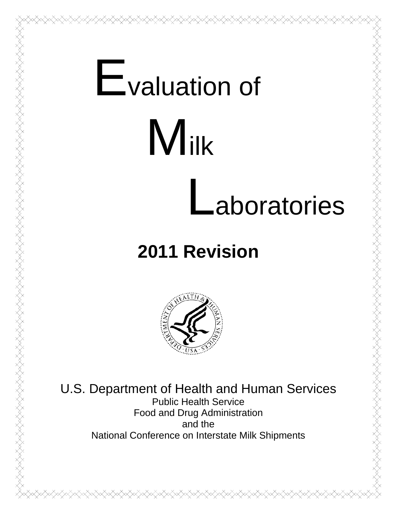# **E**valuation of **Milk** Laboratories

# **2011 Revision**



U.S. Department of Health and Human Services Public Health Service Food and Drug Administration and the National Conference on Interstate Milk Shipments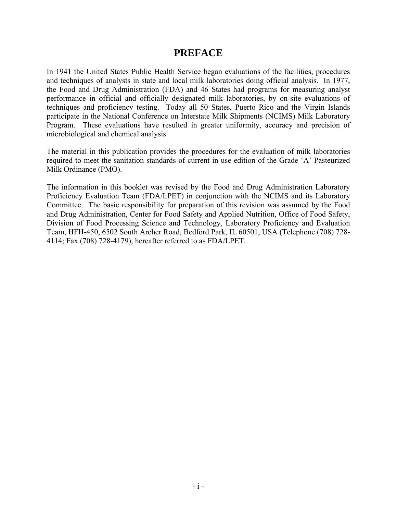#### **PREFACE**

In 1941 the United States Public Health Service began evaluations of the facilities, procedures and techniques of analysts in state and local milk laboratories doing official analysis. In 1977, the Food and Drug Administration (FDA) and 46 States had programs for measuring analyst performance in official and officially designated milk laboratories, by on-site evaluations of techniques and proficiency testing. Today all 50 States, Puerto Rico and the Virgin Islands participate in the National Conference on Interstate Milk Shipments (NCIMS) Milk Laboratory Program. These evaluations have resulted in greater uniformity, accuracy and precision of microbiological and chemical analysis.

The material in this publication provides the procedures for the evaluation of milk laboratories required to meet the sanitation standards of current in use edition of the Grade 'A' Pasteurized Milk Ordinance (PMO).

The information in this booklet was revised by the Food and Drug Administration Laboratory Proficiency Evaluation Team (FDA/LPET) in conjunction with the NCIMS and its Laboratory Committee. The basic responsibility for preparation of this revision was assumed by the Food and Drug Administration, Center for Food Safety and Applied Nutrition, Office of Food Safety, Division of Food Processing Science and Technology, Laboratory Proficiency and Evaluation Team, HFH-450, 6502 South Archer Road, Bedford Park, IL 60501, USA (Telephone (708) 728- 4114; Fax (708) 728-4179), hereafter referred to as FDA/LPET.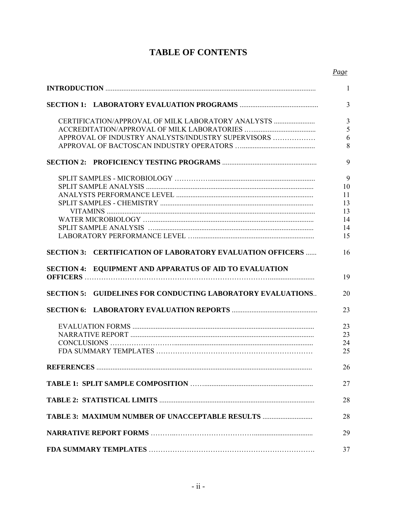### **TABLE OF CONTENTS**

|                                                                              | Page |
|------------------------------------------------------------------------------|------|
|                                                                              | 1    |
|                                                                              | 3    |
| CERTIFICATION/APPROVAL OF MILK LABORATORY ANALYSTS                           | 3    |
|                                                                              | 5    |
| APPROVAL OF INDUSTRY ANALYSTS/INDUSTRY SUPERVISORS                           | 6    |
|                                                                              | 8    |
|                                                                              | 9    |
|                                                                              | 9    |
|                                                                              | 10   |
|                                                                              | 11   |
|                                                                              | 13   |
|                                                                              | 13   |
|                                                                              | 14   |
|                                                                              | 14   |
|                                                                              | 15   |
| <b>CERTIFICATION OF LABORATORY EVALUATION OFFICERS </b><br><b>SECTION 3:</b> | 16   |
| <b>SECTION 4: EQUIPMENT AND APPARATUS OF AID TO EVALUATION</b>               | 19   |
| <b>SECTION 5: GUIDELINES FOR CONDUCTING LABORATORY EVALUATIONS</b>           | 20   |
|                                                                              | 23   |
|                                                                              | 23   |
|                                                                              | 23   |
|                                                                              | 24   |
|                                                                              | 25   |
|                                                                              | 26   |
|                                                                              | 27   |
|                                                                              | 28   |
| TABLE 3: MAXIMUM NUMBER OF UNACCEPTABLE RESULTS                              | 28   |
|                                                                              | 29   |
|                                                                              |      |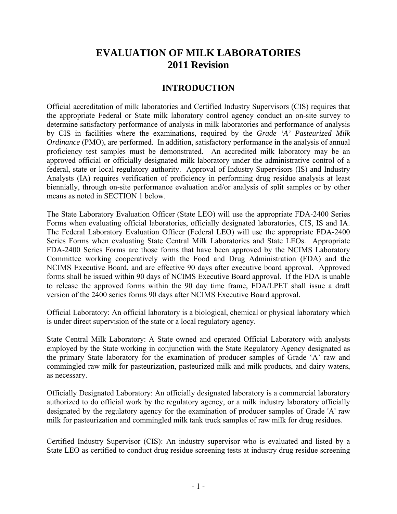## **EVALUATION OF MILK LABORATORIES 2011 Revision**

#### **INTRODUCTION**

Official accreditation of milk laboratories and Certified Industry Supervisors (CIS) requires that the appropriate Federal or State milk laboratory control agency conduct an on-site survey to determine satisfactory performance of analysis in milk laboratories and performance of analysis by CIS in facilities where the examinations, required by the *Grade 'A' Pasteurized Milk Ordinance* (PMO), are performed. In addition, satisfactory performance in the analysis of annual proficiency test samples must be demonstrated. An accredited milk laboratory may be an approved official or officially designated milk laboratory under the administrative control of a federal, state or local regulatory authority. Approval of Industry Supervisors (IS) and Industry Analysts (IA) requires verification of proficiency in performing drug residue analysis at least biennially, through on-site performance evaluation and/or analysis of split samples or by other means as noted in SECTION 1 below.

The State Laboratory Evaluation Officer (State LEO) will use the appropriate FDA-2400 Series Forms when evaluating official laboratories, officially designated laboratories, CIS, IS and IA. The Federal Laboratory Evaluation Officer (Federal LEO) will use the appropriate FDA-2400 Series Forms when evaluating State Central Milk Laboratories and State LEOs. Appropriate FDA-2400 Series Forms are those forms that have been approved by the NCIMS Laboratory Committee working cooperatively with the Food and Drug Administration (FDA) and the NCIMS Executive Board, and are effective 90 days after executive board approval. Approved forms shall be issued within 90 days of NCIMS Executive Board approval. If the FDA is unable to release the approved forms within the 90 day time frame, FDA/LPET shall issue a draft version of the 2400 series forms 90 days after NCIMS Executive Board approval.

Official Laboratory: An official laboratory is a biological, chemical or physical laboratory which is under direct supervision of the state or a local regulatory agency.

State Central Milk Laboratory: A State owned and operated Official Laboratory with analysts employed by the State working in conjunction with the State Regulatory Agency designated as the primary State laboratory for the examination of producer samples of Grade 'A' raw and commingled raw milk for pasteurization, pasteurized milk and milk products, and dairy waters, as necessary.

Officially Designated Laboratory: An officially designated laboratory is a commercial laboratory authorized to do official work by the regulatory agency, or a milk industry laboratory officially designated by the regulatory agency for the examination of producer samples of Grade 'A' raw milk for pasteurization and commingled milk tank truck samples of raw milk for drug residues.

Certified Industry Supervisor (CIS): An industry supervisor who is evaluated and listed by a State LEO as certified to conduct drug residue screening tests at industry drug residue screening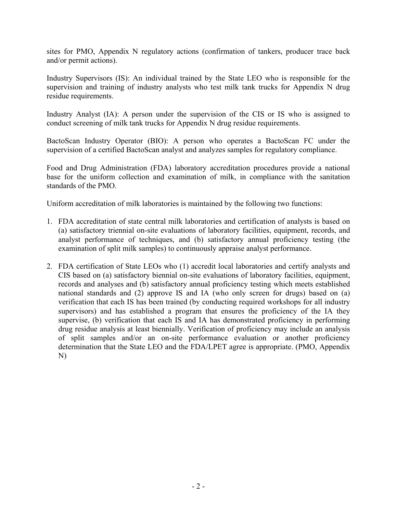sites for PMO, Appendix N regulatory actions (confirmation of tankers, producer trace back and/or permit actions).

Industry Supervisors (IS): An individual trained by the State LEO who is responsible for the supervision and training of industry analysts who test milk tank trucks for Appendix N drug residue requirements.

Industry Analyst (IA): A person under the supervision of the CIS or IS who is assigned to conduct screening of milk tank trucks for Appendix N drug residue requirements.

BactoScan Industry Operator (BIO): A person who operates a BactoScan FC under the supervision of a certified BactoScan analyst and analyzes samples for regulatory compliance.

Food and Drug Administration (FDA) laboratory accreditation procedures provide a national base for the uniform collection and examination of milk, in compliance with the sanitation standards of the PMO.

Uniform accreditation of milk laboratories is maintained by the following two functions:

- 1. FDA accreditation of state central milk laboratories and certification of analysts is based on (a) satisfactory triennial on-site evaluations of laboratory facilities, equipment, records, and analyst performance of techniques, and (b) satisfactory annual proficiency testing (the examination of split milk samples) to continuously appraise analyst performance.
- 2. FDA certification of State LEOs who (1) accredit local laboratories and certify analysts and CIS based on (a) satisfactory biennial on-site evaluations of laboratory facilities, equipment, records and analyses and (b) satisfactory annual proficiency testing which meets established national standards and (2) approve IS and IA (who only screen for drugs) based on (a) verification that each IS has been trained (by conducting required workshops for all industry supervisors) and has established a program that ensures the proficiency of the IA they supervise, (b) verification that each IS and IA has demonstrated proficiency in performing drug residue analysis at least biennially. Verification of proficiency may include an analysis of split samples and/or an on-site performance evaluation or another proficiency determination that the State LEO and the FDA/LPET agree is appropriate. (PMO, Appendix N)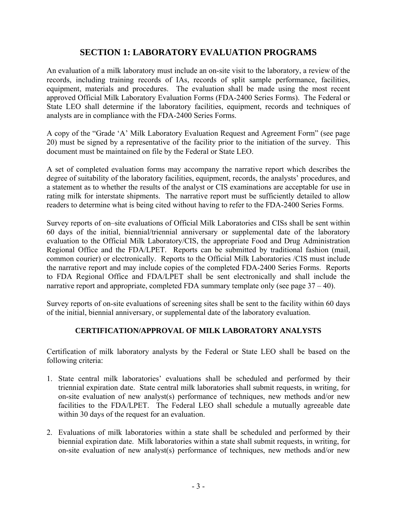#### **SECTION 1: LABORATORY EVALUATION PROGRAMS**

An evaluation of a milk laboratory must include an on-site visit to the laboratory, a review of the records, including training records of IAs, records of split sample performance, facilities, equipment, materials and procedures. The evaluation shall be made using the most recent approved Official Milk Laboratory Evaluation Forms (FDA-2400 Series Forms). The Federal or State LEO shall determine if the laboratory facilities, equipment, records and techniques of analysts are in compliance with the FDA-2400 Series Forms.

A copy of the "Grade 'A' Milk Laboratory Evaluation Request and Agreement Form" (see page 20) must be signed by a representative of the facility prior to the initiation of the survey. This document must be maintained on file by the Federal or State LEO.

A set of completed evaluation forms may accompany the narrative report which describes the degree of suitability of the laboratory facilities, equipment, records, the analysts' procedures, and a statement as to whether the results of the analyst or CIS examinations are acceptable for use in rating milk for interstate shipments. The narrative report must be sufficiently detailed to allow readers to determine what is being cited without having to refer to the FDA-2400 Series Forms.

Survey reports of on–site evaluations of Official Milk Laboratories and CISs shall be sent within 60 days of the initial, biennial/triennial anniversary or supplemental date of the laboratory evaluation to the Official Milk Laboratory/CIS, the appropriate Food and Drug Administration Regional Office and the FDA/LPET. Reports can be submitted by traditional fashion (mail, common courier) or electronically. Reports to the Official Milk Laboratories /CIS must include the narrative report and may include copies of the completed FDA-2400 Series Forms. Reports to FDA Regional Office and FDA/LPET shall be sent electronically and shall include the narrative report and appropriate, completed FDA summary template only (see page  $37 - 40$ ).

Survey reports of on-site evaluations of screening sites shall be sent to the facility within 60 days of the initial, biennial anniversary, or supplemental date of the laboratory evaluation.

#### **CERTIFICATION/APPROVAL OF MILK LABORATORY ANALYSTS**

Certification of milk laboratory analysts by the Federal or State LEO shall be based on the following criteria:

- 1. State central milk laboratories' evaluations shall be scheduled and performed by their triennial expiration date. State central milk laboratories shall submit requests, in writing, for on-site evaluation of new analyst(s) performance of techniques, new methods and/or new facilities to the FDA/LPET. The Federal LEO shall schedule a mutually agreeable date within 30 days of the request for an evaluation.
- 2. Evaluations of milk laboratories within a state shall be scheduled and performed by their biennial expiration date. Milk laboratories within a state shall submit requests, in writing, for on-site evaluation of new analyst(s) performance of techniques, new methods and/or new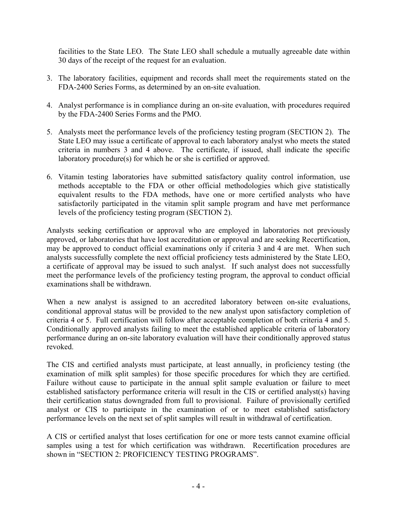facilities to the State LEO. The State LEO shall schedule a mutually agreeable date within 30 days of the receipt of the request for an evaluation.

- 3. The laboratory facilities, equipment and records shall meet the requirements stated on the FDA-2400 Series Forms, as determined by an on-site evaluation.
- 4. Analyst performance is in compliance during an on-site evaluation, with procedures required by the FDA-2400 Series Forms and the PMO.
- 5. Analysts meet the performance levels of the proficiency testing program (SECTION 2). The State LEO may issue a certificate of approval to each laboratory analyst who meets the stated criteria in numbers 3 and 4 above. The certificate, if issued, shall indicate the specific laboratory procedure(s) for which he or she is certified or approved.
- 6. Vitamin testing laboratories have submitted satisfactory quality control information, use methods acceptable to the FDA or other official methodologies which give statistically equivalent results to the FDA methods, have one or more certified analysts who have satisfactorily participated in the vitamin split sample program and have met performance levels of the proficiency testing program (SECTION 2).

Analysts seeking certification or approval who are employed in laboratories not previously approved, or laboratories that have lost accreditation or approval and are seeking Recertification, may be approved to conduct official examinations only if criteria 3 and 4 are met. When such analysts successfully complete the next official proficiency tests administered by the State LEO, a certificate of approval may be issued to such analyst. If such analyst does not successfully meet the performance levels of the proficiency testing program, the approval to conduct official examinations shall be withdrawn.

When a new analyst is assigned to an accredited laboratory between on-site evaluations, conditional approval status will be provided to the new analyst upon satisfactory completion of criteria 4 or 5. Full certification will follow after acceptable completion of both criteria 4 and 5. Conditionally approved analysts failing to meet the established applicable criteria of laboratory performance during an on-site laboratory evaluation will have their conditionally approved status revoked.

The CIS and certified analysts must participate, at least annually, in proficiency testing (the examination of milk split samples) for those specific procedures for which they are certified. Failure without cause to participate in the annual split sample evaluation or failure to meet established satisfactory performance criteria will result in the CIS or certified analyst(s) having their certification status downgraded from full to provisional. Failure of provisionally certified analyst or CIS to participate in the examination of or to meet established satisfactory performance levels on the next set of split samples will result in withdrawal of certification.

A CIS or certified analyst that loses certification for one or more tests cannot examine official samples using a test for which certification was withdrawn. Recertification procedures are shown in "SECTION 2: PROFICIENCY TESTING PROGRAMS".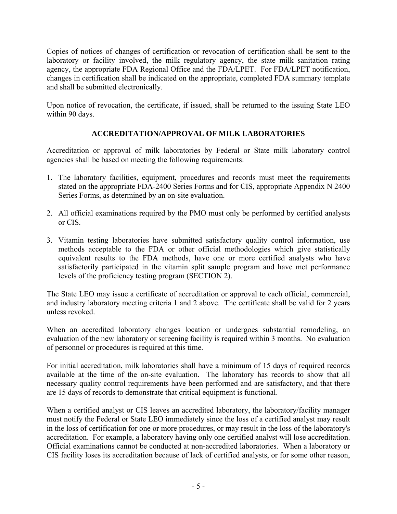Copies of notices of changes of certification or revocation of certification shall be sent to the laboratory or facility involved, the milk regulatory agency, the state milk sanitation rating agency, the appropriate FDA Regional Office and the FDA/LPET. For FDA/LPET notification, changes in certification shall be indicated on the appropriate, completed FDA summary template and shall be submitted electronically.

Upon notice of revocation, the certificate, if issued, shall be returned to the issuing State LEO within 90 days.

#### **ACCREDITATION/APPROVAL OF MILK LABORATORIES**

Accreditation or approval of milk laboratories by Federal or State milk laboratory control agencies shall be based on meeting the following requirements:

- 1. The laboratory facilities, equipment, procedures and records must meet the requirements stated on the appropriate FDA-2400 Series Forms and for CIS, appropriate Appendix N 2400 Series Forms, as determined by an on-site evaluation.
- 2. All official examinations required by the PMO must only be performed by certified analysts or CIS.
- 3. Vitamin testing laboratories have submitted satisfactory quality control information, use methods acceptable to the FDA or other official methodologies which give statistically equivalent results to the FDA methods, have one or more certified analysts who have satisfactorily participated in the vitamin split sample program and have met performance levels of the proficiency testing program (SECTION 2).

The State LEO may issue a certificate of accreditation or approval to each official, commercial, and industry laboratory meeting criteria 1 and 2 above. The certificate shall be valid for 2 years unless revoked.

When an accredited laboratory changes location or undergoes substantial remodeling, an evaluation of the new laboratory or screening facility is required within 3 months. No evaluation of personnel or procedures is required at this time.

For initial accreditation, milk laboratories shall have a minimum of 15 days of required records available at the time of the on-site evaluation. The laboratory has records to show that all necessary quality control requirements have been performed and are satisfactory, and that there are 15 days of records to demonstrate that critical equipment is functional.

When a certified analyst or CIS leaves an accredited laboratory, the laboratory/facility manager must notify the Federal or State LEO immediately since the loss of a certified analyst may result in the loss of certification for one or more procedures, or may result in the loss of the laboratory's accreditation. For example, a laboratory having only one certified analyst will lose accreditation. Official examinations cannot be conducted at non-accredited laboratories. When a laboratory or CIS facility loses its accreditation because of lack of certified analysts, or for some other reason,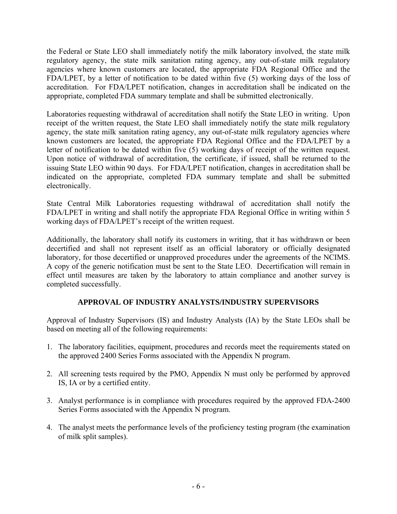the Federal or State LEO shall immediately notify the milk laboratory involved, the state milk regulatory agency, the state milk sanitation rating agency, any out-of-state milk regulatory agencies where known customers are located, the appropriate FDA Regional Office and the FDA/LPET, by a letter of notification to be dated within five (5) working days of the loss of accreditation. For FDA/LPET notification, changes in accreditation shall be indicated on the appropriate, completed FDA summary template and shall be submitted electronically.

Laboratories requesting withdrawal of accreditation shall notify the State LEO in writing. Upon receipt of the written request, the State LEO shall immediately notify the state milk regulatory agency, the state milk sanitation rating agency, any out-of-state milk regulatory agencies where known customers are located, the appropriate FDA Regional Office and the FDA/LPET by a letter of notification to be dated within five (5) working days of receipt of the written request. Upon notice of withdrawal of accreditation, the certificate, if issued, shall be returned to the issuing State LEO within 90 days. For FDA/LPET notification, changes in accreditation shall be indicated on the appropriate, completed FDA summary template and shall be submitted electronically.

State Central Milk Laboratories requesting withdrawal of accreditation shall notify the FDA/LPET in writing and shall notify the appropriate FDA Regional Office in writing within 5 working days of FDA/LPET's receipt of the written request.

Additionally, the laboratory shall notify its customers in writing, that it has withdrawn or been decertified and shall not represent itself as an official laboratory or officially designated laboratory, for those decertified or unapproved procedures under the agreements of the NCIMS. A copy of the generic notification must be sent to the State LEO. Decertification will remain in effect until measures are taken by the laboratory to attain compliance and another survey is completed successfully.

#### **APPROVAL OF INDUSTRY ANALYSTS/INDUSTRY SUPERVISORS**

Approval of Industry Supervisors (IS) and Industry Analysts (IA) by the State LEOs shall be based on meeting all of the following requirements:

- 1. The laboratory facilities, equipment, procedures and records meet the requirements stated on the approved 2400 Series Forms associated with the Appendix N program.
- 2. All screening tests required by the PMO, Appendix N must only be performed by approved IS, IA or by a certified entity.
- 3. Analyst performance is in compliance with procedures required by the approved FDA-2400 Series Forms associated with the Appendix N program.
- 4. The analyst meets the performance levels of the proficiency testing program (the examination of milk split samples).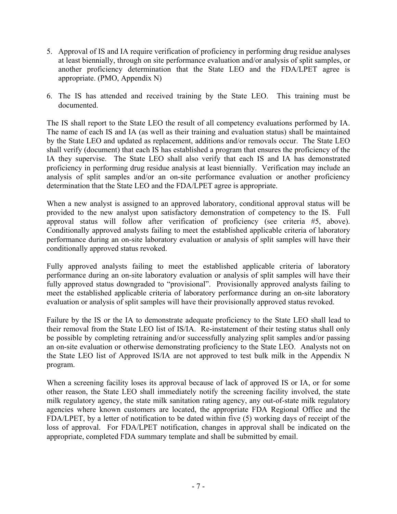- 5. Approval of IS and IA require verification of proficiency in performing drug residue analyses at least biennially, through on site performance evaluation and/or analysis of split samples, or another proficiency determination that the State LEO and the FDA/LPET agree is appropriate. (PMO, Appendix N)
- 6. The IS has attended and received training by the State LEO. This training must be documented.

The IS shall report to the State LEO the result of all competency evaluations performed by IA. The name of each IS and IA (as well as their training and evaluation status) shall be maintained by the State LEO and updated as replacement, additions and/or removals occur. The State LEO shall verify (document) that each IS has established a program that ensures the proficiency of the IA they supervise. The State LEO shall also verify that each IS and IA has demonstrated proficiency in performing drug residue analysis at least biennially. Verification may include an analysis of split samples and/or an on-site performance evaluation or another proficiency determination that the State LEO and the FDA/LPET agree is appropriate.

When a new analyst is assigned to an approved laboratory, conditional approval status will be provided to the new analyst upon satisfactory demonstration of competency to the IS. Full approval status will follow after verification of proficiency (see criteria #5, above). Conditionally approved analysts failing to meet the established applicable criteria of laboratory performance during an on-site laboratory evaluation or analysis of split samples will have their conditionally approved status revoked.

Fully approved analysts failing to meet the established applicable criteria of laboratory performance during an on-site laboratory evaluation or analysis of split samples will have their fully approved status downgraded to "provisional". Provisionally approved analysts failing to meet the established applicable criteria of laboratory performance during an on-site laboratory evaluation or analysis of split samples will have their provisionally approved status revoked.

Failure by the IS or the IA to demonstrate adequate proficiency to the State LEO shall lead to their removal from the State LEO list of IS/IA. Re-instatement of their testing status shall only be possible by completing retraining and/or successfully analyzing split samples and/or passing an on-site evaluation or otherwise demonstrating proficiency to the State LEO. Analysts not on the State LEO list of Approved IS/IA are not approved to test bulk milk in the Appendix N program.

When a screening facility loses its approval because of lack of approved IS or IA, or for some other reason, the State LEO shall immediately notify the screening facility involved, the state milk regulatory agency, the state milk sanitation rating agency, any out-of-state milk regulatory agencies where known customers are located, the appropriate FDA Regional Office and the FDA/LPET, by a letter of notification to be dated within five (5) working days of receipt of the loss of approval. For FDA/LPET notification, changes in approval shall be indicated on the appropriate, completed FDA summary template and shall be submitted by email.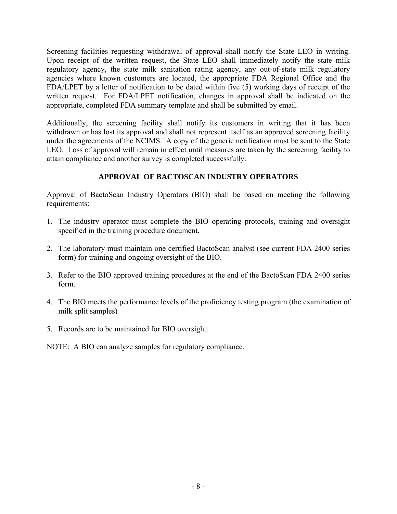Screening facilities requesting withdrawal of approval shall notify the State LEO in writing. Upon receipt of the written request, the State LEO shall immediately notify the state milk regulatory agency, the state milk sanitation rating agency, any out-of-state milk regulatory agencies where known customers are located, the appropriate FDA Regional Office and the FDA/LPET by a letter of notification to be dated within five (5) working days of receipt of the written request. For FDA/LPET notification, changes in approval shall be indicated on the appropriate, completed FDA summary template and shall be submitted by email.

Additionally, the screening facility shall notify its customers in writing that it has been withdrawn or has lost its approval and shall not represent itself as an approved screening facility under the agreements of the NCIMS. A copy of the generic notification must be sent to the State LEO. Loss of approval will remain in effect until measures are taken by the screening facility to attain compliance and another survey is completed successfully.

#### **APPROVAL OF BACTOSCAN INDUSTRY OPERATORS**

Approval of BactoScan Industry Operators (BIO) shall be based on meeting the following requirements:

- 1. The industry operator must complete the BIO operating protocols, training and oversight specified in the training procedure document.
- 2. The laboratory must maintain one certified BactoScan analyst (see current FDA 2400 series form) for training and ongoing oversight of the BIO.
- 3. Refer to the BIO approved training procedures at the end of the BactoScan FDA 2400 series form.
- 4. The BIO meets the performance levels of the proficiency testing program (the examination of milk split samples)
- 5. Records are to be maintained for BIO oversight.

NOTE: A BIO can analyze samples for regulatory compliance.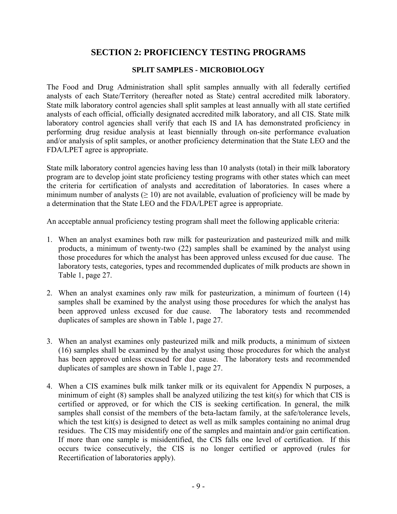#### **SECTION 2: PROFICIENCY TESTING PROGRAMS**

#### **SPLIT SAMPLES - MICROBIOLOGY**

The Food and Drug Administration shall split samples annually with all federally certified analysts of each State/Territory (hereafter noted as State) central accredited milk laboratory. State milk laboratory control agencies shall split samples at least annually with all state certified analysts of each official, officially designated accredited milk laboratory, and all CIS. State milk laboratory control agencies shall verify that each IS and IA has demonstrated proficiency in performing drug residue analysis at least biennially through on-site performance evaluation and/or analysis of split samples, or another proficiency determination that the State LEO and the FDA/LPET agree is appropriate.

State milk laboratory control agencies having less than 10 analysts (total) in their milk laboratory program are to develop joint state proficiency testing programs with other states which can meet the criteria for certification of analysts and accreditation of laboratories. In cases where a minimum number of analysts ( $\geq 10$ ) are not available, evaluation of proficiency will be made by a determination that the State LEO and the FDA/LPET agree is appropriate.

An acceptable annual proficiency testing program shall meet the following applicable criteria:

- 1. When an analyst examines both raw milk for pasteurization and pasteurized milk and milk products, a minimum of twenty-two (22) samples shall be examined by the analyst using those procedures for which the analyst has been approved unless excused for due cause. The laboratory tests, categories, types and recommended duplicates of milk products are shown in Table 1, page 27.
- 2. When an analyst examines only raw milk for pasteurization, a minimum of fourteen (14) samples shall be examined by the analyst using those procedures for which the analyst has been approved unless excused for due cause. The laboratory tests and recommended duplicates of samples are shown in Table 1, page 27.
- 3. When an analyst examines only pasteurized milk and milk products, a minimum of sixteen (16) samples shall be examined by the analyst using those procedures for which the analyst has been approved unless excused for due cause. The laboratory tests and recommended duplicates of samples are shown in Table 1, page 27.
- 4. When a CIS examines bulk milk tanker milk or its equivalent for Appendix N purposes, a minimum of eight (8) samples shall be analyzed utilizing the test kit(s) for which that CIS is certified or approved, or for which the CIS is seeking certification. In general, the milk samples shall consist of the members of the beta-lactam family, at the safe/tolerance levels, which the test kit(s) is designed to detect as well as milk samples containing no animal drug residues. The CIS may misidentify one of the samples and maintain and/or gain certification. If more than one sample is misidentified, the CIS falls one level of certification. If this occurs twice consecutively, the CIS is no longer certified or approved (rules for Recertification of laboratories apply).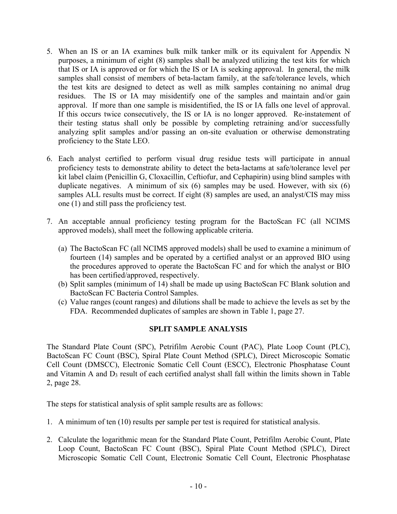- 5. When an IS or an IA examines bulk milk tanker milk or its equivalent for Appendix N purposes, a minimum of eight (8) samples shall be analyzed utilizing the test kits for which that IS or IA is approved or for which the IS or IA is seeking approval. In general, the milk samples shall consist of members of beta-lactam family, at the safe/tolerance levels, which the test kits are designed to detect as well as milk samples containing no animal drug residues. The IS or IA may misidentify one of the samples and maintain and/or gain approval. If more than one sample is misidentified, the IS or IA falls one level of approval. If this occurs twice consecutively, the IS or IA is no longer approved. Re-instatement of their testing status shall only be possible by completing retraining and/or successfully analyzing split samples and/or passing an on-site evaluation or otherwise demonstrating proficiency to the State LEO.
- 6. Each analyst certified to perform visual drug residue tests will participate in annual proficiency tests to demonstrate ability to detect the beta-lactams at safe/tolerance level per kit label claim (Penicillin G, Cloxacillin, Ceftiofur, and Cephapirin) using blind samples with duplicate negatives. A minimum of six (6) samples may be used. However, with six (6) samples ALL results must be correct. If eight (8) samples are used, an analyst/CIS may miss one (1) and still pass the proficiency test.
- 7. An acceptable annual proficiency testing program for the BactoScan FC (all NCIMS approved models), shall meet the following applicable criteria.
	- (a) The BactoScan FC (all NCIMS approved models) shall be used to examine a minimum of fourteen (14) samples and be operated by a certified analyst or an approved BIO using the procedures approved to operate the BactoScan FC and for which the analyst or BIO has been certified/approved, respectively.
	- (b) Split samples (minimum of 14) shall be made up using BactoScan FC Blank solution and BactoScan FC Bacteria Control Samples.
	- (c) Value ranges (count ranges) and dilutions shall be made to achieve the levels as set by the FDA. Recommended duplicates of samples are shown in Table 1, page 27.

#### **SPLIT SAMPLE ANALYSIS**

The Standard Plate Count (SPC), Petrifilm Aerobic Count (PAC), Plate Loop Count (PLC), BactoScan FC Count (BSC), Spiral Plate Count Method (SPLC), Direct Microscopic Somatic Cell Count (DMSCC), Electronic Somatic Cell Count (ESCC), Electronic Phosphatase Count and Vitamin A and  $D_3$  result of each certified analyst shall fall within the limits shown in Table 2, page 28.

The steps for statistical analysis of split sample results are as follows:

- 1. A minimum of ten (10) results per sample per test is required for statistical analysis.
- 2. Calculate the logarithmic mean for the Standard Plate Count, Petrifilm Aerobic Count, Plate Loop Count, BactoScan FC Count (BSC), Spiral Plate Count Method (SPLC), Direct Microscopic Somatic Cell Count, Electronic Somatic Cell Count, Electronic Phosphatase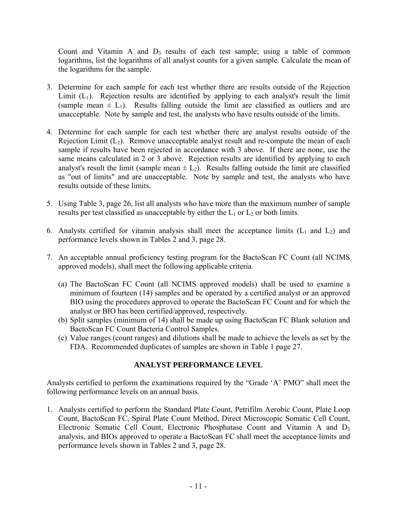Count and Vitamin A and  $D_3$  results of each test sample; using a table of common logarithms, list the logarithms of all analyst counts for a given sample. Calculate the mean of the logarithms for the sample.

- 3. Determine for each sample for each test whether there are results outside of the Rejection Limit  $(L_1)$ . Rejection results are identified by applying to each analyst's result the limit (sample mean  $\pm$  L<sub>1</sub>). Results falling outside the limit are classified as outliers and are unacceptable. Note by sample and test, the analysts who have results outside of the limits.
- 4. Determine for each sample for each test whether there are analyst results outside of the Rejection Limit  $(L_2)$ . Remove unacceptable analyst result and re-compute the mean of each sample if results have been rejected in accordance with 3 above. If there are none, use the same means calculated in 2 or 3 above. Rejection results are identified by applying to each analyst's result the limit (sample mean  $\pm$  L<sub>2</sub>). Results falling outside the limit are classified as "out of limits" and are unacceptable. Note by sample and test, the analysts who have results outside of these limits.
- 5. Using Table 3, page 26, list all analysts who have more than the maximum number of sample results per test classified as unacceptable by either the  $L_1$  or  $L_2$  or both limits.
- 6. Analysts certified for vitamin analysis shall meet the acceptance limits  $(L_1 \text{ and } L_2)$  and performance levels shown in Tables 2 and 3, page 28.
- 7. An acceptable annual proficiency testing program for the BactoScan FC Count (all NCIMS approved models), shall meet the following applicable criteria.
	- (a) The BactoScan FC Count (all NCIMS approved models) shall be used to examine a minimum of fourteen (14) samples and be operated by a certified analyst or an approved BIO using the procedures approved to operate the BactoScan FC Count and for which the analyst or BIO has been certified/approved, respectively.
	- (b) Split samples (minimum of 14) shall be made up using BactoScan FC Blank solution and BactoScan FC Count Bacteria Control Samples.
	- (c) Value ranges (count ranges) and dilutions shall be made to achieve the levels as set by the FDA. Recommended duplicates of samples are shown in Table 1 page 27.

#### **ANALYST PERFORMANCE LEVEL**

Analysts certified to perform the examinations required by the "Grade 'A' PMO" shall meet the following performance levels on an annual basis.

1. Analysts certified to perform the Standard Plate Count, Petrifilm Aerobic Count, Plate Loop Count, BactoScan FC, Spiral Plate Count Method, Direct Microscopic Somatic Cell Count, Electronic Somatic Cell Count, Electronic Phosphatase Count and Vitamin A and D3 analysis, and BIOs approved to operate a BactoScan FC shall meet the acceptance limits and performance levels shown in Tables 2 and 3, page 28.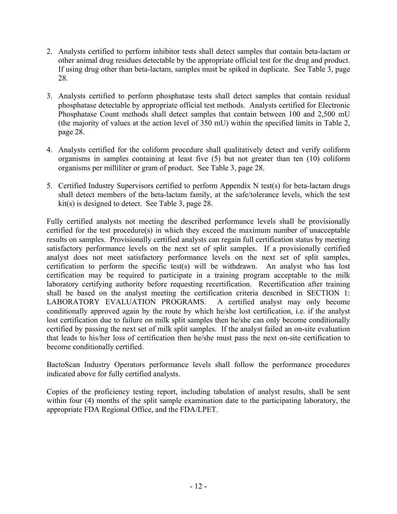- 2. Analysts certified to perform inhibitor tests shall detect samples that contain beta-lactam or other animal drug residues detectable by the appropriate official test for the drug and product. If using drug other than beta-lactam, samples must be spiked in duplicate. See Table 3, page 28.
- 3. Analysts certified to perform phosphatase tests shall detect samples that contain residual phosphatase detectable by appropriate official test methods. Analysts certified for Electronic Phosphatase Count methods shall detect samples that contain between 100 and 2,500 mU (the majority of values at the action level of 350 mU) within the specified limits in Table 2, page 28.
- 4. Analysts certified for the coliform procedure shall qualitatively detect and verify coliform organisms in samples containing at least five (5) but not greater than ten (10) coliform organisms per milliliter or gram of product. See Table 3, page 28.
- 5. Certified Industry Supervisors certified to perform Appendix N test(s) for beta-lactam drugs shall detect members of the beta-lactam family, at the safe/tolerance levels, which the test kit(s) is designed to detect. See Table 3, page 28.

Fully certified analysts not meeting the described performance levels shall be provisionally certified for the test procedure(s) in which they exceed the maximum number of unacceptable results on samples. Provisionally certified analysts can regain full certification status by meeting satisfactory performance levels on the next set of split samples. If a provisionally certified analyst does not meet satisfactory performance levels on the next set of split samples, certification to perform the specific test(s) will be withdrawn. An analyst who has lost certification may be required to participate in a training program acceptable to the milk laboratory certifying authority before requesting recertification. Recertification after training shall be based on the analyst meeting the certification criteria described in SECTION 1: LABORATORY EVALUATION PROGRAMS. A certified analyst may only become conditionally approved again by the route by which he/she lost certification, i.e. if the analyst lost certification due to failure on milk split samples then he/she can only become conditionally certified by passing the next set of milk split samples. If the analyst failed an on-site evaluation that leads to his/her loss of certification then he/she must pass the next on-site certification to become conditionally certified.

BactoScan Industry Operators performance levels shall follow the performance procedures indicated above for fully certified analysts.

Copies of the proficiency testing report, including tabulation of analyst results, shall be sent within four (4) months of the split sample examination date to the participating laboratory, the appropriate FDA Regional Office, and the FDA/LPET.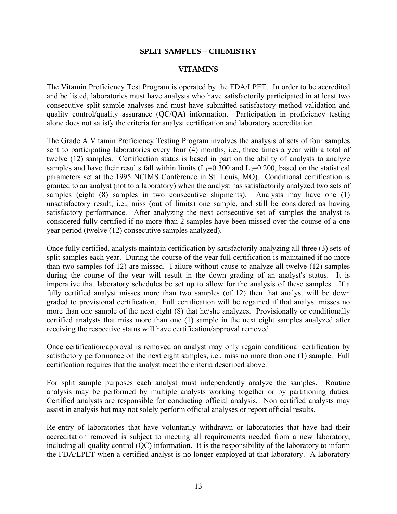#### **SPLIT SAMPLES – CHEMISTRY**

#### **VITAMINS**

The Vitamin Proficiency Test Program is operated by the FDA/LPET. In order to be accredited and be listed, laboratories must have analysts who have satisfactorily participated in at least two consecutive split sample analyses and must have submitted satisfactory method validation and quality control/quality assurance (QC/QA) information. Participation in proficiency testing alone does not satisfy the criteria for analyst certification and laboratory accreditation.

The Grade A Vitamin Proficiency Testing Program involves the analysis of sets of four samples sent to participating laboratories every four (4) months, i.e., three times a year with a total of twelve (12) samples. Certification status is based in part on the ability of analysts to analyze samples and have their results fall within limits  $(L_1=0.300$  and  $L_2=0.200$ , based on the statistical parameters set at the 1995 NCIMS Conference in St. Louis, MO). Conditional certification is granted to an analyst (not to a laboratory) when the analyst has satisfactorily analyzed two sets of samples (eight (8) samples in two consecutive shipments). Analysts may have one (1) unsatisfactory result, i.e., miss (out of limits) one sample, and still be considered as having satisfactory performance. After analyzing the next consecutive set of samples the analyst is considered fully certified if no more than 2 samples have been missed over the course of a one year period (twelve (12) consecutive samples analyzed).

Once fully certified, analysts maintain certification by satisfactorily analyzing all three (3) sets of split samples each year. During the course of the year full certification is maintained if no more than two samples (of 12) are missed. Failure without cause to analyze all twelve (12) samples during the course of the year will result in the down grading of an analyst's status. It is imperative that laboratory schedules be set up to allow for the analysis of these samples. If a fully certified analyst misses more than two samples (of 12) then that analyst will be down graded to provisional certification. Full certification will be regained if that analyst misses no more than one sample of the next eight (8) that he/she analyzes. Provisionally or conditionally certified analysts that miss more than one (1) sample in the next eight samples analyzed after receiving the respective status will have certification/approval removed.

Once certification/approval is removed an analyst may only regain conditional certification by satisfactory performance on the next eight samples, i.e., miss no more than one (1) sample. Full certification requires that the analyst meet the criteria described above.

For split sample purposes each analyst must independently analyze the samples. Routine analysis may be performed by multiple analysts working together or by partitioning duties. Certified analysts are responsible for conducting official analysis. Non certified analysts may assist in analysis but may not solely perform official analyses or report official results.

Re-entry of laboratories that have voluntarily withdrawn or laboratories that have had their accreditation removed is subject to meeting all requirements needed from a new laboratory, including all quality control (QC) information. It is the responsibility of the laboratory to inform the FDA/LPET when a certified analyst is no longer employed at that laboratory. A laboratory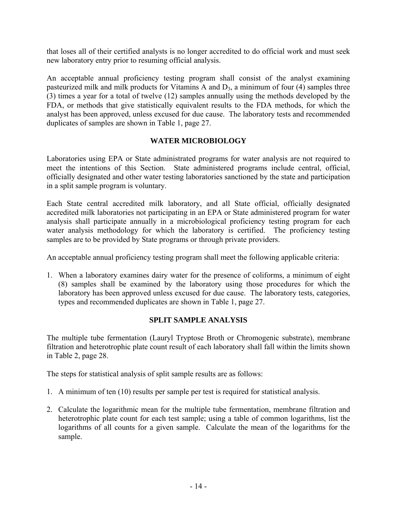that loses all of their certified analysts is no longer accredited to do official work and must seek new laboratory entry prior to resuming official analysis.

An acceptable annual proficiency testing program shall consist of the analyst examining pasteurized milk and milk products for Vitamins A and  $D_3$ , a minimum of four (4) samples three (3) times a year for a total of twelve (12) samples annually using the methods developed by the FDA, or methods that give statistically equivalent results to the FDA methods, for which the analyst has been approved, unless excused for due cause. The laboratory tests and recommended duplicates of samples are shown in Table 1, page 27.

#### **WATER MICROBIOLOGY**

Laboratories using EPA or State administrated programs for water analysis are not required to meet the intentions of this Section. State administered programs include central, official, officially designated and other water testing laboratories sanctioned by the state and participation in a split sample program is voluntary.

Each State central accredited milk laboratory, and all State official, officially designated accredited milk laboratories not participating in an EPA or State administered program for water analysis shall participate annually in a microbiological proficiency testing program for each water analysis methodology for which the laboratory is certified. The proficiency testing samples are to be provided by State programs or through private providers.

An acceptable annual proficiency testing program shall meet the following applicable criteria:

1. When a laboratory examines dairy water for the presence of coliforms, a minimum of eight (8) samples shall be examined by the laboratory using those procedures for which the laboratory has been approved unless excused for due cause. The laboratory tests, categories, types and recommended duplicates are shown in Table 1, page 27.

#### **SPLIT SAMPLE ANALYSIS**

The multiple tube fermentation (Lauryl Tryptose Broth or Chromogenic substrate), membrane filtration and heterotrophic plate count result of each laboratory shall fall within the limits shown in Table 2, page 28.

The steps for statistical analysis of split sample results are as follows:

- 1. A minimum of ten (10) results per sample per test is required for statistical analysis.
- 2. Calculate the logarithmic mean for the multiple tube fermentation, membrane filtration and heterotrophic plate count for each test sample; using a table of common logarithms, list the logarithms of all counts for a given sample. Calculate the mean of the logarithms for the sample.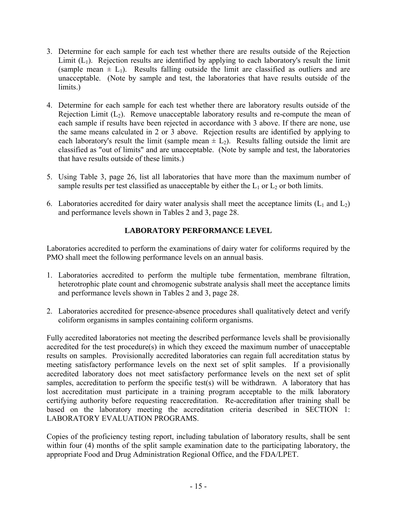- 3. Determine for each sample for each test whether there are results outside of the Rejection Limit  $(L_1)$ . Rejection results are identified by applying to each laboratory's result the limit (sample mean  $\pm$  L<sub>1</sub>). Results falling outside the limit are classified as outliers and are unacceptable. (Note by sample and test, the laboratories that have results outside of the limits.)
- 4. Determine for each sample for each test whether there are laboratory results outside of the Rejection Limit  $(L_2)$ . Remove unacceptable laboratory results and re-compute the mean of each sample if results have been rejected in accordance with 3 above. If there are none, use the same means calculated in 2 or 3 above. Rejection results are identified by applying to each laboratory's result the limit (sample mean  $\pm L_2$ ). Results falling outside the limit are classified as "out of limits" and are unacceptable. (Note by sample and test, the laboratories that have results outside of these limits.)
- 5. Using Table 3, page 26, list all laboratories that have more than the maximum number of sample results per test classified as unacceptable by either the  $L_1$  or  $L_2$  or both limits.
- 6. Laboratories accredited for dairy water analysis shall meet the acceptance limits  $(L_1 \text{ and } L_2)$ and performance levels shown in Tables 2 and 3, page 28.

#### **LABORATORY PERFORMANCE LEVEL**

Laboratories accredited to perform the examinations of dairy water for coliforms required by the PMO shall meet the following performance levels on an annual basis.

- 1. Laboratories accredited to perform the multiple tube fermentation, membrane filtration, heterotrophic plate count and chromogenic substrate analysis shall meet the acceptance limits and performance levels shown in Tables 2 and 3, page 28.
- 2. Laboratories accredited for presence-absence procedures shall qualitatively detect and verify coliform organisms in samples containing coliform organisms.

Fully accredited laboratories not meeting the described performance levels shall be provisionally accredited for the test procedure(s) in which they exceed the maximum number of unacceptable results on samples. Provisionally accredited laboratories can regain full accreditation status by meeting satisfactory performance levels on the next set of split samples. If a provisionally accredited laboratory does not meet satisfactory performance levels on the next set of split samples, accreditation to perform the specific test(s) will be withdrawn. A laboratory that has lost accreditation must participate in a training program acceptable to the milk laboratory certifying authority before requesting reaccreditation. Re-accreditation after training shall be based on the laboratory meeting the accreditation criteria described in SECTION 1: LABORATORY EVALUATION PROGRAMS.

Copies of the proficiency testing report, including tabulation of laboratory results, shall be sent within four (4) months of the split sample examination date to the participating laboratory, the appropriate Food and Drug Administration Regional Office, and the FDA/LPET.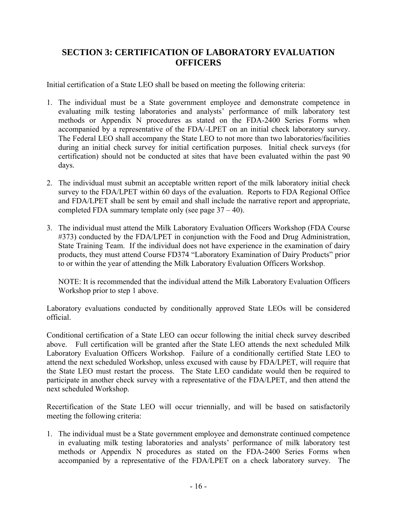#### **SECTION 3: CERTIFICATION OF LABORATORY EVALUATION OFFICERS**

Initial certification of a State LEO shall be based on meeting the following criteria:

- 1. The individual must be a State government employee and demonstrate competence in evaluating milk testing laboratories and analysts' performance of milk laboratory test methods or Appendix N procedures as stated on the FDA-2400 Series Forms when accompanied by a representative of the FDA/-LPET on an initial check laboratory survey. The Federal LEO shall accompany the State LEO to not more than two laboratories/facilities during an initial check survey for initial certification purposes. Initial check surveys (for certification) should not be conducted at sites that have been evaluated within the past 90 days.
- 2. The individual must submit an acceptable written report of the milk laboratory initial check survey to the FDA/LPET within 60 days of the evaluation. Reports to FDA Regional Office and FDA/LPET shall be sent by email and shall include the narrative report and appropriate, completed FDA summary template only (see page 37 – 40).
- 3. The individual must attend the Milk Laboratory Evaluation Officers Workshop (FDA Course #373) conducted by the FDA/LPET in conjunction with the Food and Drug Administration, State Training Team. If the individual does not have experience in the examination of dairy products, they must attend Course FD374 "Laboratory Examination of Dairy Products" prior to or within the year of attending the Milk Laboratory Evaluation Officers Workshop.

 NOTE: It is recommended that the individual attend the Milk Laboratory Evaluation Officers Workshop prior to step 1 above.

Laboratory evaluations conducted by conditionally approved State LEOs will be considered official.

Conditional certification of a State LEO can occur following the initial check survey described above. Full certification will be granted after the State LEO attends the next scheduled Milk Laboratory Evaluation Officers Workshop. Failure of a conditionally certified State LEO to attend the next scheduled Workshop, unless excused with cause by FDA/LPET, will require that the State LEO must restart the process. The State LEO candidate would then be required to participate in another check survey with a representative of the FDA/LPET, and then attend the next scheduled Workshop.

Recertification of the State LEO will occur triennially, and will be based on satisfactorily meeting the following criteria:

1. The individual must be a State government employee and demonstrate continued competence in evaluating milk testing laboratories and analysts' performance of milk laboratory test methods or Appendix N procedures as stated on the FDA-2400 Series Forms when accompanied by a representative of the FDA/LPET on a check laboratory survey. The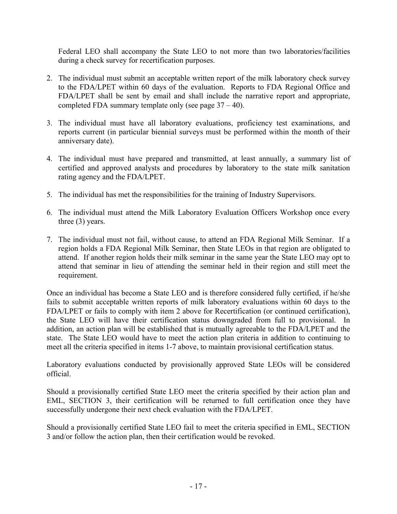Federal LEO shall accompany the State LEO to not more than two laboratories/facilities during a check survey for recertification purposes.

- 2. The individual must submit an acceptable written report of the milk laboratory check survey to the FDA/LPET within 60 days of the evaluation. Reports to FDA Regional Office and FDA/LPET shall be sent by email and shall include the narrative report and appropriate, completed FDA summary template only (see page  $37 - 40$ ).
- 3. The individual must have all laboratory evaluations, proficiency test examinations, and reports current (in particular biennial surveys must be performed within the month of their anniversary date).
- 4. The individual must have prepared and transmitted, at least annually, a summary list of certified and approved analysts and procedures by laboratory to the state milk sanitation rating agency and the FDA/LPET.
- 5. The individual has met the responsibilities for the training of Industry Supervisors.
- 6. The individual must attend the Milk Laboratory Evaluation Officers Workshop once every three (3) years.
- 7. The individual must not fail, without cause, to attend an FDA Regional Milk Seminar. If a region holds a FDA Regional Milk Seminar, then State LEOs in that region are obligated to attend. If another region holds their milk seminar in the same year the State LEO may opt to attend that seminar in lieu of attending the seminar held in their region and still meet the requirement.

Once an individual has become a State LEO and is therefore considered fully certified, if he/she fails to submit acceptable written reports of milk laboratory evaluations within 60 days to the FDA/LPET or fails to comply with item 2 above for Recertification (or continued certification), the State LEO will have their certification status downgraded from full to provisional. In addition, an action plan will be established that is mutually agreeable to the FDA/LPET and the state. The State LEO would have to meet the action plan criteria in addition to continuing to meet all the criteria specified in items 1-7 above, to maintain provisional certification status.

Laboratory evaluations conducted by provisionally approved State LEOs will be considered official.

Should a provisionally certified State LEO meet the criteria specified by their action plan and EML, SECTION 3, their certification will be returned to full certification once they have successfully undergone their next check evaluation with the FDA/LPET.

Should a provisionally certified State LEO fail to meet the criteria specified in EML, SECTION 3 and/or follow the action plan, then their certification would be revoked.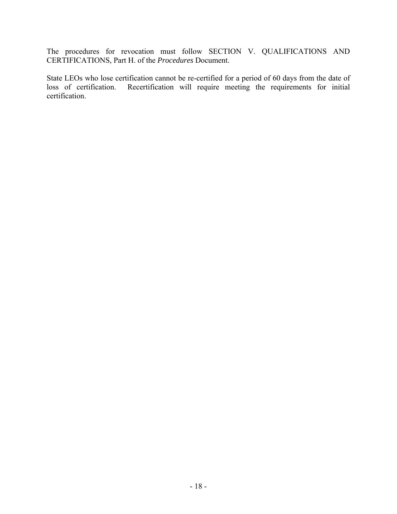The procedures for revocation must follow SECTION V. QUALIFICATIONS AND CERTIFICATIONS, Part H. of the *Procedures* Document.

State LEOs who lose certification cannot be re-certified for a period of 60 days from the date of loss of certification. Recertification will require meeting the requirements for initial Recertification will require meeting the requirements for initial certification.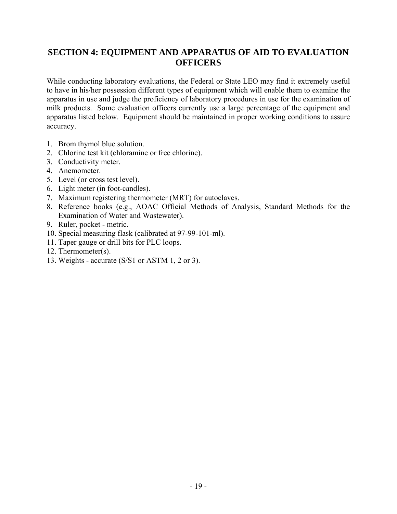#### **SECTION 4: EQUIPMENT AND APPARATUS OF AID TO EVALUATION OFFICERS**

While conducting laboratory evaluations, the Federal or State LEO may find it extremely useful to have in his/her possession different types of equipment which will enable them to examine the apparatus in use and judge the proficiency of laboratory procedures in use for the examination of milk products. Some evaluation officers currently use a large percentage of the equipment and apparatus listed below. Equipment should be maintained in proper working conditions to assure accuracy.

- 1. Brom thymol blue solution.
- 2. Chlorine test kit (chloramine or free chlorine).
- 3. Conductivity meter.
- 4. Anemometer.
- 5. Level (or cross test level).
- 6. Light meter (in foot-candles).
- 7. Maximum registering thermometer (MRT) for autoclaves.
- 8. Reference books (e.g., AOAC Official Methods of Analysis, Standard Methods for the Examination of Water and Wastewater).
- 9. Ruler, pocket metric.
- 10. Special measuring flask (calibrated at 97-99-101-ml).
- 11. Taper gauge or drill bits for PLC loops.
- 12. Thermometer(s).
- 13. Weights accurate (S/S1 or ASTM 1, 2 or 3).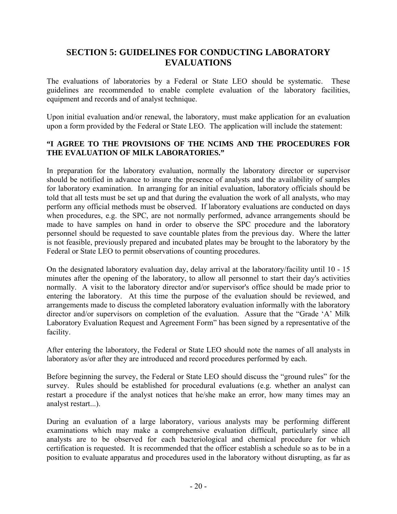#### **SECTION 5: GUIDELINES FOR CONDUCTING LABORATORY EVALUATIONS**

The evaluations of laboratories by a Federal or State LEO should be systematic. These guidelines are recommended to enable complete evaluation of the laboratory facilities, equipment and records and of analyst technique.

Upon initial evaluation and/or renewal, the laboratory, must make application for an evaluation upon a form provided by the Federal or State LEO. The application will include the statement:

#### **"I AGREE TO THE PROVISIONS OF THE NCIMS AND THE PROCEDURES FOR THE EVALUATION OF MILK LABORATORIES."**

In preparation for the laboratory evaluation, normally the laboratory director or supervisor should be notified in advance to insure the presence of analysts and the availability of samples for laboratory examination. In arranging for an initial evaluation, laboratory officials should be told that all tests must be set up and that during the evaluation the work of all analysts, who may perform any official methods must be observed. If laboratory evaluations are conducted on days when procedures, e.g. the SPC, are not normally performed, advance arrangements should be made to have samples on hand in order to observe the SPC procedure and the laboratory personnel should be requested to save countable plates from the previous day. Where the latter is not feasible, previously prepared and incubated plates may be brought to the laboratory by the Federal or State LEO to permit observations of counting procedures.

On the designated laboratory evaluation day, delay arrival at the laboratory/facility until 10 - 15 minutes after the opening of the laboratory, to allow all personnel to start their day's activities normally. A visit to the laboratory director and/or supervisor's office should be made prior to entering the laboratory. At this time the purpose of the evaluation should be reviewed, and arrangements made to discuss the completed laboratory evaluation informally with the laboratory director and/or supervisors on completion of the evaluation. Assure that the "Grade 'A' Milk Laboratory Evaluation Request and Agreement Form" has been signed by a representative of the facility.

After entering the laboratory, the Federal or State LEO should note the names of all analysts in laboratory as/or after they are introduced and record procedures performed by each.

Before beginning the survey, the Federal or State LEO should discuss the "ground rules" for the survey. Rules should be established for procedural evaluations (e.g. whether an analyst can restart a procedure if the analyst notices that he/she make an error, how many times may an analyst restart...).

During an evaluation of a large laboratory, various analysts may be performing different examinations which may make a comprehensive evaluation difficult, particularly since all analysts are to be observed for each bacteriological and chemical procedure for which certification is requested. It is recommended that the officer establish a schedule so as to be in a position to evaluate apparatus and procedures used in the laboratory without disrupting, as far as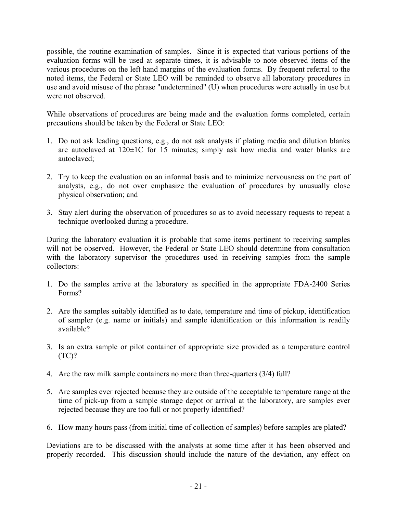possible, the routine examination of samples. Since it is expected that various portions of the evaluation forms will be used at separate times, it is advisable to note observed items of the various procedures on the left hand margins of the evaluation forms. By frequent referral to the noted items, the Federal or State LEO will be reminded to observe all laboratory procedures in use and avoid misuse of the phrase "undetermined" (U) when procedures were actually in use but were not observed.

While observations of procedures are being made and the evaluation forms completed, certain precautions should be taken by the Federal or State LEO:

- 1. Do not ask leading questions, e.g., do not ask analysts if plating media and dilution blanks are autoclaved at 120±1C for 15 minutes; simply ask how media and water blanks are autoclaved;
- 2. Try to keep the evaluation on an informal basis and to minimize nervousness on the part of analysts, e.g., do not over emphasize the evaluation of procedures by unusually close physical observation; and
- 3. Stay alert during the observation of procedures so as to avoid necessary requests to repeat a technique overlooked during a procedure.

During the laboratory evaluation it is probable that some items pertinent to receiving samples will not be observed. However, the Federal or State LEO should determine from consultation with the laboratory supervisor the procedures used in receiving samples from the sample collectors:

- 1. Do the samples arrive at the laboratory as specified in the appropriate FDA-2400 Series Forms?
- 2. Are the samples suitably identified as to date, temperature and time of pickup, identification of sampler (e.g. name or initials) and sample identification or this information is readily available?
- 3. Is an extra sample or pilot container of appropriate size provided as a temperature control  $(TC)?$
- 4. Are the raw milk sample containers no more than three-quarters (3/4) full?
- 5. Are samples ever rejected because they are outside of the acceptable temperature range at the time of pick-up from a sample storage depot or arrival at the laboratory, are samples ever rejected because they are too full or not properly identified?
- 6. How many hours pass (from initial time of collection of samples) before samples are plated?

Deviations are to be discussed with the analysts at some time after it has been observed and properly recorded. This discussion should include the nature of the deviation, any effect on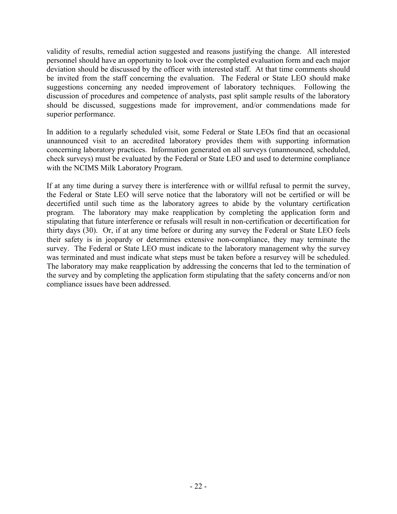validity of results, remedial action suggested and reasons justifying the change. All interested personnel should have an opportunity to look over the completed evaluation form and each major deviation should be discussed by the officer with interested staff. At that time comments should be invited from the staff concerning the evaluation. The Federal or State LEO should make suggestions concerning any needed improvement of laboratory techniques. Following the discussion of procedures and competence of analysts, past split sample results of the laboratory should be discussed, suggestions made for improvement, and/or commendations made for superior performance.

In addition to a regularly scheduled visit, some Federal or State LEOs find that an occasional unannounced visit to an accredited laboratory provides them with supporting information concerning laboratory practices. Information generated on all surveys (unannounced, scheduled, check surveys) must be evaluated by the Federal or State LEO and used to determine compliance with the NCIMS Milk Laboratory Program.

If at any time during a survey there is interference with or willful refusal to permit the survey, the Federal or State LEO will serve notice that the laboratory will not be certified or will be decertified until such time as the laboratory agrees to abide by the voluntary certification program. The laboratory may make reapplication by completing the application form and stipulating that future interference or refusals will result in non-certification or decertification for thirty days (30). Or, if at any time before or during any survey the Federal or State LEO feels their safety is in jeopardy or determines extensive non-compliance, they may terminate the survey. The Federal or State LEO must indicate to the laboratory management why the survey was terminated and must indicate what steps must be taken before a resurvey will be scheduled. The laboratory may make reapplication by addressing the concerns that led to the termination of the survey and by completing the application form stipulating that the safety concerns and/or non compliance issues have been addressed.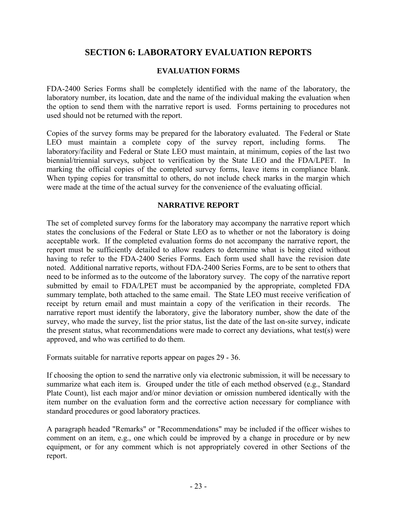#### **SECTION 6: LABORATORY EVALUATION REPORTS**

#### **EVALUATION FORMS**

FDA-2400 Series Forms shall be completely identified with the name of the laboratory, the laboratory number, its location, date and the name of the individual making the evaluation when the option to send them with the narrative report is used. Forms pertaining to procedures not used should not be returned with the report.

Copies of the survey forms may be prepared for the laboratory evaluated. The Federal or State LEO must maintain a complete copy of the survey report, including forms. The laboratory/facility and Federal or State LEO must maintain, at minimum, copies of the last two biennial/triennial surveys, subject to verification by the State LEO and the FDA/LPET. In marking the official copies of the completed survey forms, leave items in compliance blank. When typing copies for transmittal to others, do not include check marks in the margin which were made at the time of the actual survey for the convenience of the evaluating official.

#### **NARRATIVE REPORT**

The set of completed survey forms for the laboratory may accompany the narrative report which states the conclusions of the Federal or State LEO as to whether or not the laboratory is doing acceptable work. If the completed evaluation forms do not accompany the narrative report, the report must be sufficiently detailed to allow readers to determine what is being cited without having to refer to the FDA-2400 Series Forms. Each form used shall have the revision date noted. Additional narrative reports, without FDA-2400 Series Forms, are to be sent to others that need to be informed as to the outcome of the laboratory survey. The copy of the narrative report submitted by email to FDA/LPET must be accompanied by the appropriate, completed FDA summary template, both attached to the same email. The State LEO must receive verification of receipt by return email and must maintain a copy of the verification in their records. The narrative report must identify the laboratory, give the laboratory number, show the date of the survey, who made the survey, list the prior status, list the date of the last on-site survey, indicate the present status, what recommendations were made to correct any deviations, what test(s) were approved, and who was certified to do them.

Formats suitable for narrative reports appear on pages 29 - 36.

If choosing the option to send the narrative only via electronic submission, it will be necessary to summarize what each item is. Grouped under the title of each method observed (e.g., Standard Plate Count), list each major and/or minor deviation or omission numbered identically with the item number on the evaluation form and the corrective action necessary for compliance with standard procedures or good laboratory practices.

A paragraph headed "Remarks" or "Recommendations" may be included if the officer wishes to comment on an item, e.g., one which could be improved by a change in procedure or by new equipment, or for any comment which is not appropriately covered in other Sections of the report.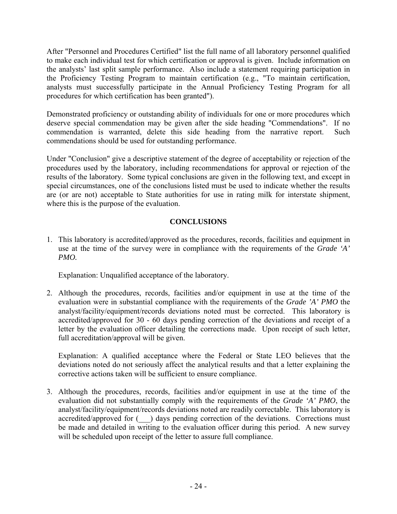After "Personnel and Procedures Certified" list the full name of all laboratory personnel qualified to make each individual test for which certification or approval is given. Include information on the analysts' last split sample performance. Also include a statement requiring participation in the Proficiency Testing Program to maintain certification (e.g., "To maintain certification, analysts must successfully participate in the Annual Proficiency Testing Program for all procedures for which certification has been granted").

Demonstrated proficiency or outstanding ability of individuals for one or more procedures which deserve special commendation may be given after the side heading "Commendations". If no commendation is warranted, delete this side heading from the narrative report. Such commendations should be used for outstanding performance.

Under "Conclusion" give a descriptive statement of the degree of acceptability or rejection of the procedures used by the laboratory, including recommendations for approval or rejection of the results of the laboratory. Some typical conclusions are given in the following text, and except in special circumstances, one of the conclusions listed must be used to indicate whether the results are (or are not) acceptable to State authorities for use in rating milk for interstate shipment, where this is the purpose of the evaluation.

#### **CONCLUSIONS**

1. This laboratory is accredited/approved as the procedures, records, facilities and equipment in use at the time of the survey were in compliance with the requirements of the *Grade 'A' PMO.* 

Explanation: Unqualified acceptance of the laboratory.

2. Although the procedures, records, facilities and/or equipment in use at the time of the evaluation were in substantial compliance with the requirements of the *Grade 'A' PMO* the analyst/facility/equipment/records deviations noted must be corrected. This laboratory is accredited/approved for 30 - 60 days pending correction of the deviations and receipt of a letter by the evaluation officer detailing the corrections made. Upon receipt of such letter, full accreditation/approval will be given.

 Explanation: A qualified acceptance where the Federal or State LEO believes that the deviations noted do not seriously affect the analytical results and that a letter explaining the corrective actions taken will be sufficient to ensure compliance.

3. Although the procedures, records, facilities and/or equipment in use at the time of the evaluation did not substantially comply with the requirements of the *Grade 'A' PMO*, the analyst/facility/equipment/records deviations noted are readily correctable. This laboratory is accredited/approved for (\_\_\_) days pending correction of the deviations. Corrections must be made and detailed in writing to the evaluation officer during this period. A new survey will be scheduled upon receipt of the letter to assure full compliance.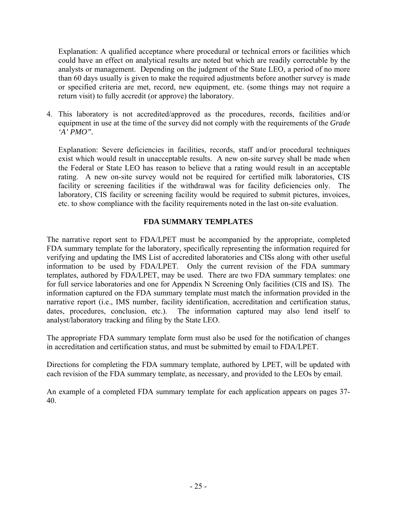Explanation: A qualified acceptance where procedural or technical errors or facilities which could have an effect on analytical results are noted but which are readily correctable by the analysts or management. Depending on the judgment of the State LEO, a period of no more than 60 days usually is given to make the required adjustments before another survey is made or specified criteria are met, record, new equipment, etc. (some things may not require a return visit) to fully accredit (or approve) the laboratory.

4. This laboratory is not accredited/approved as the procedures, records, facilities and/or equipment in use at the time of the survey did not comply with the requirements of the *Grade 'A' PMO".* 

 Explanation: Severe deficiencies in facilities, records, staff and/or procedural techniques exist which would result in unacceptable results. A new on-site survey shall be made when the Federal or State LEO has reason to believe that a rating would result in an acceptable rating. A new on-site survey would not be required for certified milk laboratories, CIS facility or screening facilities if the withdrawal was for facility deficiencies only. The laboratory, CIS facility or screening facility would be required to submit pictures, invoices, etc. to show compliance with the facility requirements noted in the last on-site evaluation.

#### **FDA SUMMARY TEMPLATES**

The narrative report sent to FDA/LPET must be accompanied by the appropriate, completed FDA summary template for the laboratory, specifically representing the information required for verifying and updating the IMS List of accredited laboratories and CISs along with other useful information to be used by FDA/LPET. Only the current revision of the FDA summary templates, authored by FDA/LPET, may be used. There are two FDA summary templates: one for full service laboratories and one for Appendix N Screening Only facilities (CIS and IS). The information captured on the FDA summary template must match the information provided in the narrative report (i.e., IMS number, facility identification, accreditation and certification status, dates, procedures, conclusion, etc.). The information captured may also lend itself to analyst/laboratory tracking and filing by the State LEO.

The appropriate FDA summary template form must also be used for the notification of changes in accreditation and certification status, and must be submitted by email to FDA/LPET.

Directions for completing the FDA summary template, authored by LPET, will be updated with each revision of the FDA summary template, as necessary, and provided to the LEOs by email.

An example of a completed FDA summary template for each application appears on pages 37- 40.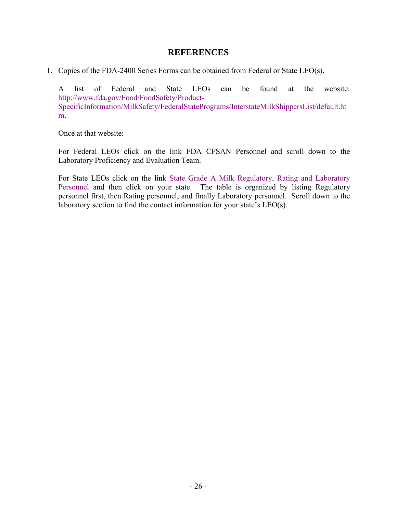#### **REFERENCES**

1. Copies of the FDA-2400 Series Forms can be obtained from Federal or State LEO(s).

 A list of Federal and State LEOs can be found at the website: http://www.fda.gov/Food/FoodSafety/Product-SpecificInformation/MilkSafety/FederalStatePrograms/InterstateMilkShippersList/default.ht m.

Once at that website:

 For Federal LEOs click on the link FDA CFSAN Personnel and scroll down to the Laboratory Proficiency and Evaluation Team.

 For State LEOs click on the link State Grade A Milk Regulatory, Rating and Laboratory Personnel and then click on your state. The table is organized by listing Regulatory personnel first, then Rating personnel, and finally Laboratory personnel. Scroll down to the laboratory section to find the contact information for your state's LEO(s).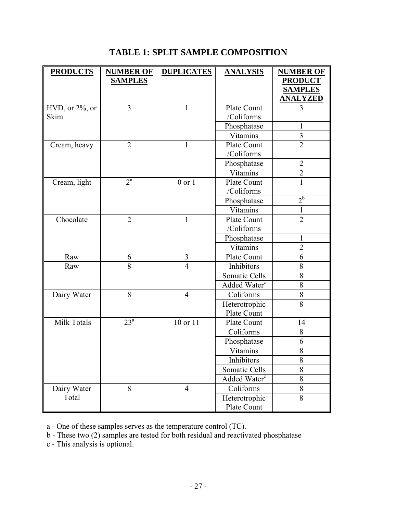| <b>PRODUCTS</b>       | <b>NUMBER OF</b><br><b>SAMPLES</b> | <b>DUPLICATES</b> | <b>ANALYSIS</b>          | <b>NUMBER OF</b><br><b>PRODUCT</b><br><b>SAMPLES</b> |
|-----------------------|------------------------------------|-------------------|--------------------------|------------------------------------------------------|
|                       |                                    |                   |                          | <b>ANALYZED</b>                                      |
| $HVD$ , or $2\%$ , or | 3                                  | 1                 | Plate Count              | 3                                                    |
| Skim                  |                                    |                   | /Coliforms               |                                                      |
|                       |                                    |                   | Phosphatase              | 1                                                    |
|                       |                                    |                   | Vitamins                 | 3                                                    |
| Cream, heavy          | $\overline{2}$                     | $\mathbf{1}$      | <b>Plate Count</b>       | $\overline{2}$                                       |
|                       |                                    |                   | /Coliforms               |                                                      |
|                       |                                    |                   | Phosphatase              | $\overline{2}$                                       |
|                       |                                    |                   | Vitamins                 | $\overline{2}$                                       |
| Cream, light          | $2^{\mathrm{a}}$                   | $0$ or $1$        | <b>Plate Count</b>       | 1                                                    |
|                       |                                    |                   | /Coliforms               |                                                      |
|                       |                                    |                   | Phosphatase              | $2^{b}$                                              |
|                       |                                    |                   | Vitamins                 | 1                                                    |
| Chocolate             | $\overline{2}$                     | $\mathbf{1}$      | Plate Count              | $\overline{2}$                                       |
|                       |                                    |                   | /Coliforms               |                                                      |
|                       |                                    |                   | Phosphatase              | 1                                                    |
|                       |                                    |                   | Vitamins                 | $\overline{2}$                                       |
| Raw                   | 6                                  | 3                 | Plate Count              | 6                                                    |
| Raw                   | 8                                  | $\overline{4}$    | Inhibitors               | 8                                                    |
|                       |                                    |                   | Somatic Cells            | 8                                                    |
|                       |                                    |                   | Added Water <sup>c</sup> | 8                                                    |
| Dairy Water           | 8                                  | $\overline{4}$    | Coliforms                | $8\,$                                                |
|                       |                                    |                   | Heterotrophic            | 8                                                    |
|                       |                                    |                   | Plate Count              |                                                      |
| Milk Totals           | 23 <sup>a</sup>                    | 10 or 11          | Plate Count              | 14                                                   |
|                       |                                    |                   | Coliforms                | 8                                                    |
|                       |                                    |                   | Phosphatase              | 6                                                    |
|                       |                                    |                   | Vitamins                 | 8                                                    |
|                       |                                    |                   | Inhibitors               | 8                                                    |
|                       |                                    |                   | Somatic Cells            | 8                                                    |
|                       |                                    |                   | Added Water <sup>c</sup> | 8                                                    |
| Dairy Water           | 8                                  | $\overline{4}$    | Coliforms                | 8                                                    |
| Total                 |                                    |                   | Heterotrophic            | 8                                                    |
|                       |                                    |                   | Plate Count              |                                                      |

### **TABLE 1: SPLIT SAMPLE COMPOSITION**

a - One of these samples serves as the temperature control (TC).

b - These two (2) samples are tested for both residual and reactivated phosphatase

c - This analysis is optional.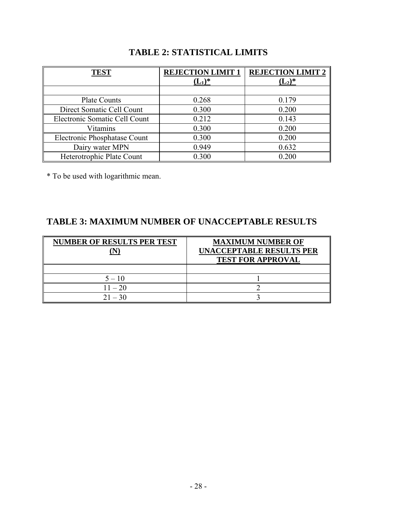| <b>TEST</b>                   | <b>REJECTION LIMIT 1</b><br>$(L_1)^*$ | <b>REJECTION LIMIT 2</b><br>$(L_2)^*$ |
|-------------------------------|---------------------------------------|---------------------------------------|
|                               |                                       |                                       |
| <b>Plate Counts</b>           | 0.268                                 | 0.179                                 |
| Direct Somatic Cell Count     | 0.300                                 | 0.200                                 |
| Electronic Somatic Cell Count | 0.212                                 | 0.143                                 |
| Vitamins                      | 0.300                                 | 0.200                                 |
| Electronic Phosphatase Count  | 0.300                                 | 0.200                                 |
| Dairy water MPN               | 0.949                                 | 0.632                                 |
| Heterotrophic Plate Count     | 0.300                                 | 0.200                                 |

#### **TABLE 2: STATISTICAL LIMITS**

\* To be used with logarithmic mean.

#### **TABLE 3: MAXIMUM NUMBER OF UNACCEPTABLE RESULTS**

| <b>NUMBER OF RESULTS PER TEST</b> | <b>MAXIMUM NUMBER OF</b><br><b>UNACCEPTABLE RESULTS PER</b><br><b>TEST FOR APPROVAL</b> |
|-----------------------------------|-----------------------------------------------------------------------------------------|
|                                   |                                                                                         |
| $5 - 10$                          |                                                                                         |
| $11 - 20$                         |                                                                                         |
| $21 - 30$                         |                                                                                         |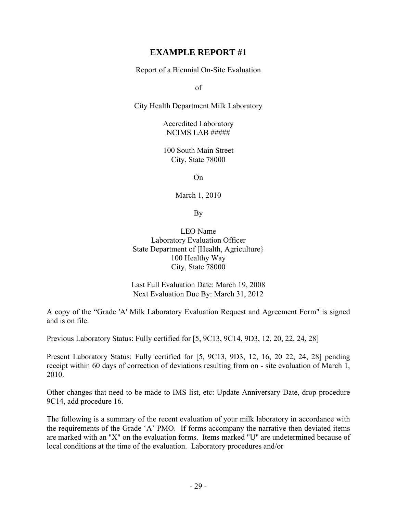#### **EXAMPLE REPORT #1**

Report of a Biennial On-Site Evaluation

of

City Health Department Milk Laboratory

Accredited Laboratory NCIMS LAB #####

100 South Main Street City, State 78000

On

March 1, 2010

By

LEO Name Laboratory Evaluation Officer State Department of [Health, Agriculture} 100 Healthy Way City, State 78000

Last Full Evaluation Date: March 19, 2008 Next Evaluation Due By: March 31, 2012

A copy of the "Grade 'A' Milk Laboratory Evaluation Request and Agreement Form" is signed and is on file.

Previous Laboratory Status: Fully certified for [5, 9C13, 9C14, 9D3, 12, 20, 22, 24, 28]

Present Laboratory Status: Fully certified for [5, 9C13, 9D3, 12, 16, 20 22, 24, 28] pending receipt within 60 days of correction of deviations resulting from on - site evaluation of March 1, 2010.

Other changes that need to be made to IMS list, etc: Update Anniversary Date, drop procedure 9C14, add procedure 16.

The following is a summary of the recent evaluation of your milk laboratory in accordance with the requirements of the Grade 'A' PMO. If forms accompany the narrative then deviated items are marked with an "X" on the evaluation forms. Items marked "U" are undetermined because of local conditions at the time of the evaluation. Laboratory procedures and/or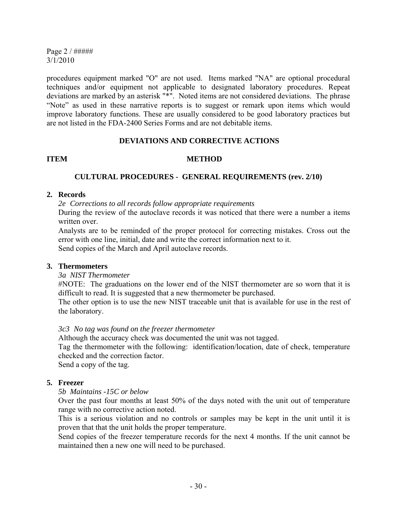Page 2 / ##### 3/1/2010

procedures equipment marked "O" are not used. Items marked "NA" are optional procedural techniques and/or equipment not applicable to designated laboratory procedures. Repeat deviations are marked by an asterisk "\*". Noted items are not considered deviations. The phrase "Note" as used in these narrative reports is to suggest or remark upon items which would improve laboratory functions. These are usually considered to be good laboratory practices but are not listed in the FDA-2400 Series Forms and are not debitable items.

#### **DEVIATIONS AND CORRECTIVE ACTIONS**

#### **ITEM METHOD**

#### **CULTURAL PROCEDURES - GENERAL REQUIREMENTS (rev. 2/10)**

#### **2. Records**

*2e Corrections to all records follow appropriate requirements* 

During the review of the autoclave records it was noticed that there were a number a items written over.

 Analysts are to be reminded of the proper protocol for correcting mistakes. Cross out the error with one line, initial, date and write the correct information next to it. Send copies of the March and April autoclave records.

#### **3. Thermometers**

#### *3a NIST Thermometer*

 #NOTE: The graduations on the lower end of the NIST thermometer are so worn that it is difficult to read. It is suggested that a new thermometer be purchased.

 The other option is to use the new NIST traceable unit that is available for use in the rest of the laboratory.

*3c3 No tag was found on the freezer thermometer* 

Although the accuracy check was documented the unit was not tagged.

 Tag the thermometer with the following: identification/location, date of check, temperature checked and the correction factor.

Send a copy of the tag.

#### **5. Freezer**

#### *5b Maintains -15C or below*

 Over the past four months at least 50% of the days noted with the unit out of temperature range with no corrective action noted.

 This is a serious violation and no controls or samples may be kept in the unit until it is proven that that the unit holds the proper temperature.

 Send copies of the freezer temperature records for the next 4 months. If the unit cannot be maintained then a new one will need to be purchased.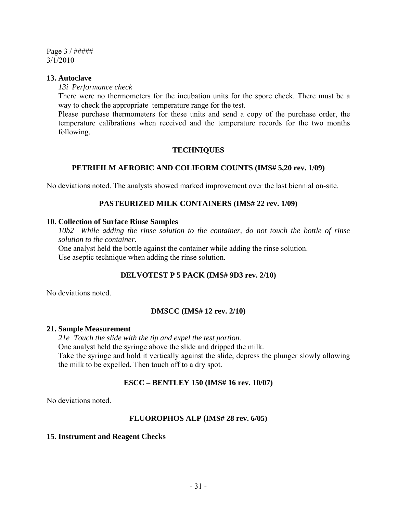Page 3 / ##### 3/1/2010

#### **13. Autoclave**

*13i Performance check*

 There were no thermometers for the incubation units for the spore check. There must be a way to check the appropriate temperature range for the test.

 Please purchase thermometers for these units and send a copy of the purchase order, the temperature calibrations when received and the temperature records for the two months following.

#### **TECHNIQUES**

#### **PETRIFILM AEROBIC AND COLIFORM COUNTS (IMS# 5,20 rev. 1/09)**

No deviations noted. The analysts showed marked improvement over the last biennial on-site.

#### **PASTEURIZED MILK CONTAINERS (IMS# 22 rev. 1/09)**

#### **10. Collection of Surface Rinse Samples**

 *10b2 While adding the rinse solution to the container, do not touch the bottle of rinse solution to the container.* 

 One analyst held the bottle against the container while adding the rinse solution. Use aseptic technique when adding the rinse solution.

#### **DELVOTEST P 5 PACK (IMS# 9D3 rev. 2/10)**

No deviations noted.

#### **DMSCC (IMS# 12 rev. 2/10)**

#### **21. Sample Measurement**

 *21e Touch the slide with the tip and expel the test portion.*  One analyst held the syringe above the slide and dripped the milk. Take the syringe and hold it vertically against the slide, depress the plunger slowly allowing the milk to be expelled. Then touch off to a dry spot.

#### **ESCC – BENTLEY 150 (IMS# 16 rev. 10/07)**

No deviations noted.

#### **FLUOROPHOS ALP (IMS# 28 rev. 6/05)**

#### **15. Instrument and Reagent Checks**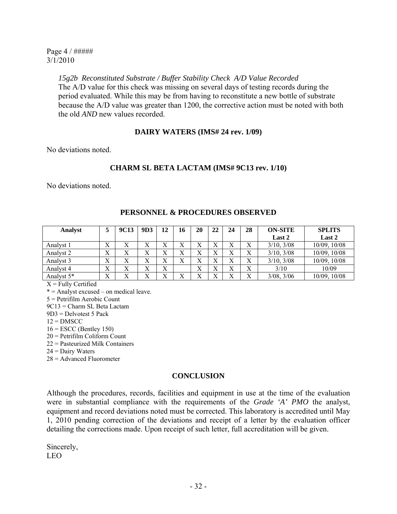Page 4 / ##### 3/1/2010

> *15g2b Reconstituted Substrate / Buffer Stability Check A/D Value Recorded*  The A/D value for this check was missing on several days of testing records during the period evaluated. While this may be from having to reconstitute a new bottle of substrate because the A/D value was greater than 1200, the corrective action must be noted with both the old *AND* new values recorded.

#### **DAIRY WATERS (IMS# 24 rev. 1/09)**

No deviations noted.

#### **CHARM SL BETA LACTAM (IMS# 9C13 rev. 1/10)**

No deviations noted.

| <b>Analyst</b> |                           | <b>9C13</b> | 9D3            | 12     | 16                      | 20                        | 22                      | 24                | 28               | <b>ON-SITE</b>  | <b>SPLITS</b> |
|----------------|---------------------------|-------------|----------------|--------|-------------------------|---------------------------|-------------------------|-------------------|------------------|-----------------|---------------|
|                |                           |             |                |        |                         |                           |                         |                   |                  | Last 2          | Last 2        |
| Analyst 1      | v<br>$\Lambda$            | X           | $\mathbf{v}$   | v<br>л |                         | $\mathbf{v}$<br>$\Lambda$ |                         | Λ                 | Х                | 3/10, 3/08      | 10/09, 10/08  |
| Analyst 2      | $\tau$<br>л               |             | v<br>Λ         | v<br>л |                         | $\mathbf{v}$<br>Λ         |                         | $\mathbf{v}$<br>л | $\mathbf v$<br>л | 3/10, 3/08      | 10/09, 10/08  |
| Analyst 3      | $\mathbf{v}$<br>$\Lambda$ |             | v<br>л         | v<br>л |                         | v<br>Λ                    |                         |                   | Х                | 3/10, 3/08      | 10/09, 10/08  |
| Analyst 4      | $\mathbf{v}$<br>$\Lambda$ | Х           | v<br>$\Lambda$ | Х      |                         | X                         | $\mathbf{v}$            | Х                 | Х                | 3/10            | 10/09         |
| Analyst 5*     | $\mathbf{v}$<br>л         | $\mathbf v$ | $\mathbf{v}$   | $\tau$ | $\overline{\mathbf{r}}$ | v                         | $\overline{\mathbf{r}}$ | v                 | $\mathbf v$      | $3/08$ , $3/06$ | 10/09, 10/08  |

#### **PERSONNEL & PROCEDURES OBSERVED**

 $X =$  Fully Certified

\* = Analyst excused – on medical leave.

5 = Petrifilm Aerobic Count

9C13 = Charm SL Beta Lactam

9D3 = Delvotest 5 Pack

 $12 =$ DMSCC

 $16 =$  ESCC (Bentley 150)

20 = Petrifilm Coliform Count

22 = Pasteurized Milk Containers

 $24$  = Dairy Waters

28 = Advanced Fluorometer

#### **CONCLUSION**

Although the procedures, records, facilities and equipment in use at the time of the evaluation were in substantial compliance with the requirements of the *Grade 'A' PMO* the analyst, equipment and record deviations noted must be corrected. This laboratory is accredited until May 1, 2010 pending correction of the deviations and receipt of a letter by the evaluation officer detailing the corrections made. Upon receipt of such letter, full accreditation will be given.

Sincerely, LEO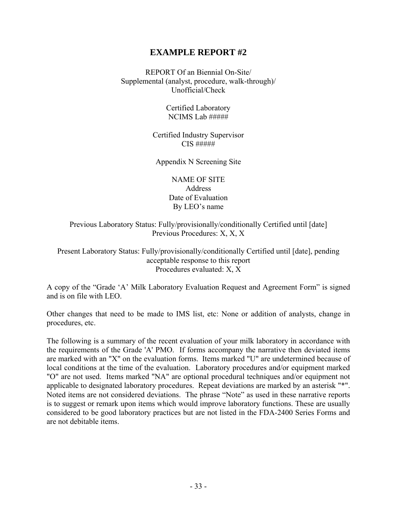#### **EXAMPLE REPORT #2**

REPORT Of an Biennial On-Site/ Supplemental (analyst, procedure, walk-through)/ Unofficial/Check

> Certified Laboratory NCIMS Lab #####

Certified Industry Supervisor CIS #####

Appendix N Screening Site

NAME OF SITE **Address** Date of Evaluation By LEO's name

Previous Laboratory Status: Fully/provisionally/conditionally Certified until [date] Previous Procedures: X, X, X

Present Laboratory Status: Fully/provisionally/conditionally Certified until [date], pending acceptable response to this report Procedures evaluated: X, X

A copy of the "Grade 'A' Milk Laboratory Evaluation Request and Agreement Form" is signed and is on file with LEO.

Other changes that need to be made to IMS list, etc: None or addition of analysts, change in procedures, etc.

The following is a summary of the recent evaluation of your milk laboratory in accordance with the requirements of the Grade 'A' PMO. If forms accompany the narrative then deviated items are marked with an "X" on the evaluation forms. Items marked "U" are undetermined because of local conditions at the time of the evaluation. Laboratory procedures and/or equipment marked "O" are not used. Items marked "NA" are optional procedural techniques and/or equipment not applicable to designated laboratory procedures. Repeat deviations are marked by an asterisk "\*". Noted items are not considered deviations. The phrase "Note" as used in these narrative reports is to suggest or remark upon items which would improve laboratory functions. These are usually considered to be good laboratory practices but are not listed in the FDA-2400 Series Forms and are not debitable items.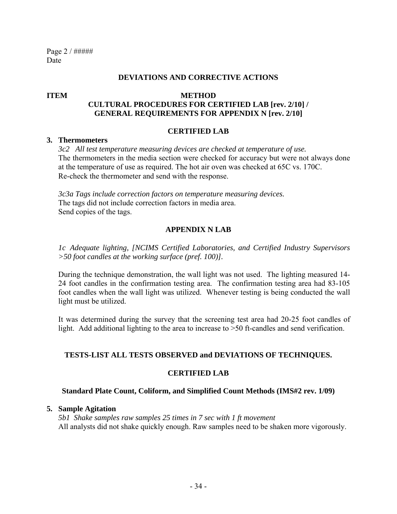Page 2 / ##### Date

#### **DEVIATIONS AND CORRECTIVE ACTIONS**

#### **ITEM METHOD CULTURAL PROCEDURES FOR CERTIFIED LAB [rev. 2/10] / GENERAL REQUIREMENTS FOR APPENDIX N [rev. 2/10]**

#### **CERTIFIED LAB**

#### **3. Thermometers**

 *3c2 All test temperature measuring devices are checked at temperature of use.*  The thermometers in the media section were checked for accuracy but were not always done at the temperature of use as required. The hot air oven was checked at 65C vs. 170C. Re-check the thermometer and send with the response.

 *3c3a Tags include correction factors on temperature measuring devices.*  The tags did not include correction factors in media area. Send copies of the tags.

#### **APPENDIX N LAB**

 *1c Adequate lighting, [NCIMS Certified Laboratories, and Certified Industry Supervisors >50 foot candles at the working surface (pref. 100)].* 

 During the technique demonstration, the wall light was not used. The lighting measured 14- 24 foot candles in the confirmation testing area. The confirmation testing area had 83-105 foot candles when the wall light was utilized. Whenever testing is being conducted the wall light must be utilized.

 It was determined during the survey that the screening test area had 20-25 foot candles of light. Add additional lighting to the area to increase to >50 ft-candles and send verification.

#### **TESTS-LIST ALL TESTS OBSERVED and DEVIATIONS OF TECHNIQUES.**

#### **CERTIFIED LAB**

#### **Standard Plate Count, Coliform, and Simplified Count Methods (IMS#2 rev. 1/09)**

#### **5. Sample Agitation**

 *5b1 Shake samples raw samples 25 times in 7 sec with 1 ft movement*  All analysts did not shake quickly enough. Raw samples need to be shaken more vigorously.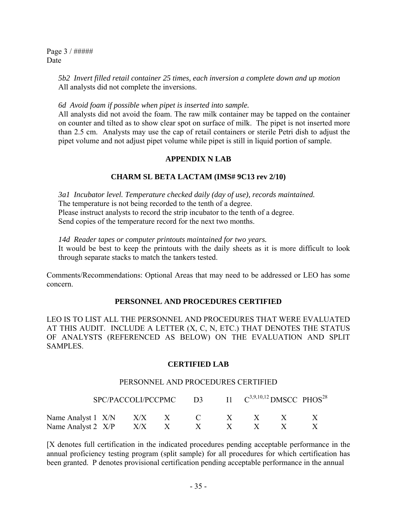Page 3 / ##### Date

> *5b2 Invert filled retail container 25 times, each inversion a complete down and up motion*  All analysts did not complete the inversions.

 *6d Avoid foam if possible when pipet is inserted into sample.* 

 All analysts did not avoid the foam. The raw milk container may be tapped on the container on counter and tilted as to show clear spot on surface of milk. The pipet is not inserted more than 2.5 cm. Analysts may use the cap of retail containers or sterile Petri dish to adjust the pipet volume and not adjust pipet volume while pipet is still in liquid portion of sample.

#### **APPENDIX N LAB**

#### **CHARM SL BETA LACTAM (IMS# 9C13 rev 2/10)**

 *3a1 Incubator level. Temperature checked daily (day of use), records maintained.*  The temperature is not being recorded to the tenth of a degree. Please instruct analysts to record the strip incubator to the tenth of a degree. Send copies of the temperature record for the next two months.

 *14d Reader tapes or computer printouts maintained for two years.* 

 It would be best to keep the printouts with the daily sheets as it is more difficult to look through separate stacks to match the tankers tested.

Comments/Recommendations: Optional Areas that may need to be addressed or LEO has some concern.

#### **PERSONNEL AND PROCEDURES CERTIFIED**

LEO IS TO LIST ALL THE PERSONNEL AND PROCEDURES THAT WERE EVALUATED AT THIS AUDIT. INCLUDE A LETTER (X, C, N, ETC.) THAT DENOTES THE STATUS OF ANALYSTS (REFERENCED AS BELOW) ON THE EVALUATION AND SPLIT SAMPLES.

#### **CERTIFIED LAB**

#### PERSONNEL AND PROCEDURES CERTIFIED

|                                                |  | SPC/PACCOLI/PCCPMC D3 $11 \text{ } C^{3,9,10,12}$ DMSCC PHOS <sup>28</sup> |  |  |
|------------------------------------------------|--|----------------------------------------------------------------------------|--|--|
| Name Analyst 1 $X/N$ $X/X$ $X$ $C$ $X$ $X$ $X$ |  |                                                                            |  |  |
| Name Analyst 2 X/P X/X X X X X X X X           |  |                                                                            |  |  |

[X denotes full certification in the indicated procedures pending acceptable performance in the annual proficiency testing program (split sample) for all procedures for which certification has been granted. P denotes provisional certification pending acceptable performance in the annual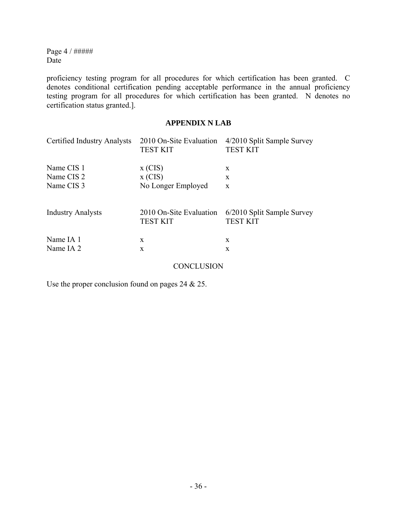Page 4 / ##### Date

proficiency testing program for all procedures for which certification has been granted. C denotes conditional certification pending acceptable performance in the annual proficiency testing program for all procedures for which certification has been granted. N denotes no certification status granted.].

#### **APPENDIX N LAB**

| Certified Industry Analysts | 2010 On-Site Evaluation<br><b>TEST KIT</b> | 4/2010 Split Sample Survey<br><b>TEST KIT</b> |
|-----------------------------|--------------------------------------------|-----------------------------------------------|
| Name CIS 1                  | $x$ (CIS)                                  | X                                             |
| Name CIS <sub>2</sub>       | $x$ (CIS)                                  | X                                             |
| Name CIS 3                  | No Longer Employed                         | $\mathbf{X}$                                  |
| <b>Industry Analysts</b>    | 2010 On-Site Evaluation<br><b>TEST KIT</b> | 6/2010 Split Sample Survey<br><b>TEST KIT</b> |
| Name IA 1                   | X                                          | X                                             |
| Name IA 2                   | $\mathbf{X}$                               | $\mathbf{x}$                                  |

**CONCLUSION** 

Use the proper conclusion found on pages 24 & 25.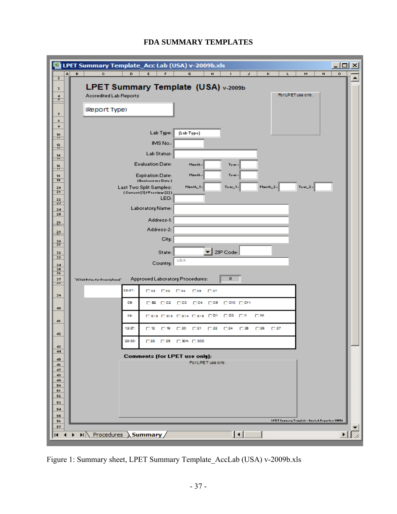

#### **FDA SUMMARY TEMPLATES**

Figure 1: Summary sheet, LPET Summary Template\_AccLab (USA) v-2009b.xls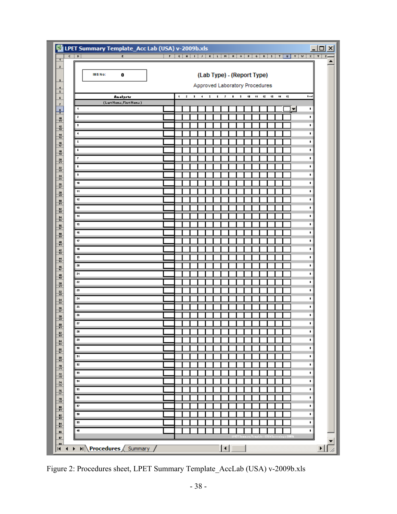|          | 图 LPET Summary Template_Acc Lab (USA) v-2009b.xls |  |                                     |  |  |                                |  |  |                          |   | $\Box$ olx |
|----------|---------------------------------------------------|--|-------------------------------------|--|--|--------------------------------|--|--|--------------------------|---|------------|
| र   ब्रा | $\overline{\epsilon}$                             |  |                                     |  |  |                                |  |  |                          |   |            |
|          |                                                   |  |                                     |  |  |                                |  |  |                          |   |            |
|          | IM8 No:<br>0                                      |  |                                     |  |  | (Lab Type) - (Report Type)     |  |  |                          |   |            |
|          |                                                   |  |                                     |  |  |                                |  |  |                          |   |            |
|          |                                                   |  |                                     |  |  | Approved Laboratory Procedures |  |  |                          |   |            |
|          | Aselystr                                          |  | 1 2 3 4 5 6 7 8 9 10 11 12 13 14 15 |  |  |                                |  |  |                          |   | Email      |
|          | (LartName, FirstName)                             |  |                                     |  |  |                                |  |  |                          |   |            |
|          | 1                                                 |  |                                     |  |  |                                |  |  |                          | ⊆ | ٠          |
|          | z                                                 |  |                                     |  |  |                                |  |  |                          |   | ٠          |
|          |                                                   |  |                                     |  |  |                                |  |  |                          |   | ٠          |
|          | ٠                                                 |  |                                     |  |  |                                |  |  |                          |   | ٠          |
|          | 5                                                 |  |                                     |  |  |                                |  |  |                          |   | ٠          |
|          | г                                                 |  |                                     |  |  |                                |  |  |                          |   | ٠          |
|          | z,                                                |  |                                     |  |  |                                |  |  |                          |   | ٠          |
|          | ٠                                                 |  |                                     |  |  |                                |  |  |                          |   | ٠          |
|          |                                                   |  |                                     |  |  |                                |  |  |                          |   |            |
|          | и                                                 |  |                                     |  |  |                                |  |  |                          |   | ٠          |
|          | $\pmb{\mathsf{1}\mathsf{1}}$                      |  |                                     |  |  |                                |  |  |                          |   | ٠          |
|          | $\ddot{\phantom{1}}$                              |  |                                     |  |  |                                |  |  |                          |   | ٠          |
|          | 12                                                |  |                                     |  |  |                                |  |  |                          |   | ٠          |
|          | 13                                                |  |                                     |  |  |                                |  |  |                          |   | ٠          |
|          | $\pmb{\mathsf{14}}$                               |  |                                     |  |  |                                |  |  |                          |   | ٠          |
|          | 15                                                |  |                                     |  |  |                                |  |  |                          |   | ٠          |
|          | 15                                                |  |                                     |  |  |                                |  |  |                          |   | ٠          |
|          | 17                                                |  |                                     |  |  |                                |  |  |                          |   | ٠          |
|          | $\pmb{\mathsf{1}\mathsf{1}}$                      |  |                                     |  |  |                                |  |  |                          |   | ٠          |
|          |                                                   |  |                                     |  |  |                                |  |  |                          |   |            |
|          | 12                                                |  |                                     |  |  |                                |  |  |                          |   | ٠          |
|          | æ                                                 |  |                                     |  |  |                                |  |  |                          |   | ٠          |
|          | 21                                                |  |                                     |  |  |                                |  |  |                          |   | ٠          |
|          | 22                                                |  |                                     |  |  |                                |  |  |                          |   | ٠          |
|          | 25                                                |  |                                     |  |  |                                |  |  |                          |   | ٠          |
|          | 24                                                |  |                                     |  |  |                                |  |  |                          |   | ٠          |
|          | 25                                                |  |                                     |  |  |                                |  |  |                          |   | ٠          |
|          | 25                                                |  |                                     |  |  |                                |  |  |                          |   | ٠          |
|          | 27                                                |  |                                     |  |  |                                |  |  |                          |   | ٠          |
|          | l≈                                                |  |                                     |  |  |                                |  |  |                          |   | ٠          |
|          | 25                                                |  |                                     |  |  |                                |  |  |                          |   | ٠          |
|          |                                                   |  |                                     |  |  |                                |  |  |                          |   |            |
|          | л                                                 |  |                                     |  |  |                                |  |  |                          |   | ٠          |
|          | 91                                                |  |                                     |  |  |                                |  |  |                          |   | ٠          |
|          | 92                                                |  |                                     |  |  |                                |  |  |                          |   | ٠          |
|          | 99                                                |  |                                     |  |  |                                |  |  |                          |   | ٠          |
|          | и                                                 |  |                                     |  |  |                                |  |  |                          |   | ٠          |
|          | 95                                                |  |                                     |  |  |                                |  |  |                          |   | ٠          |
|          | 15                                                |  |                                     |  |  |                                |  |  |                          |   | ٠          |
|          | $\mathbf{r}$                                      |  |                                     |  |  |                                |  |  |                          |   | ٠          |
|          | л                                                 |  |                                     |  |  |                                |  |  |                          |   | ٠          |
|          |                                                   |  |                                     |  |  |                                |  |  |                          |   |            |
|          | 99                                                |  |                                     |  |  |                                |  |  |                          |   | ٠          |
|          | $\blacksquare$                                    |  |                                     |  |  |                                |  |  |                          |   | ٠          |
|          |                                                   |  |                                     |  |  | PET Sommary Truplate           |  |  | 015 h Suecessing at 2005 |   |            |

Figure 2: Procedures sheet, LPET Summary Template\_AccLab (USA) v-2009b.xls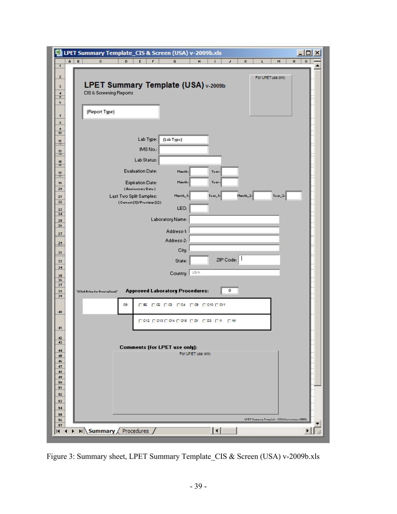| ×                                                                            | LPET Summary Template_CIS & Screen (USA) v-2009b.xls<br>Ы<br>×                                             |
|------------------------------------------------------------------------------|------------------------------------------------------------------------------------------------------------|
| A  <br>$\mathsf B$<br>¢<br>D<br>$\mathbf{1}$                                 | E<br>F<br>G<br>н<br>J<br>ĸ<br>H<br>o<br>г<br>м                                                             |
| z.                                                                           | For LPET use only.                                                                                         |
| з                                                                            | LPET Summary Template (USA) v-2009b                                                                        |
| CIS & Screening Reports<br>4<br>5                                            |                                                                                                            |
| 6                                                                            |                                                                                                            |
| (Report Type)<br>7                                                           |                                                                                                            |
| \$<br>ğ.<br>10                                                               |                                                                                                            |
| 11                                                                           | Lab Type:<br>(Lab Type)                                                                                    |
| ÷<br>13<br>÷                                                                 | IMS No.:                                                                                                   |
| 15                                                                           | Lab Status:                                                                                                |
| is.<br>$\frac{17}{18}$                                                       | <b>Evaluation Date:</b><br>Manth-<br>Your-                                                                 |
| 19                                                                           | Manth-<br>Your-<br><b>Expiration Date:</b>                                                                 |
| 20<br>21                                                                     | (Anniverzary Date)<br>Manth_2-<br>$Year_2$ <sup>2-</sup><br>Last Two Split Samples:<br>Manth_1-<br>Yoar_1- |
| 22                                                                           | (Current[1]/Previour[2])                                                                                   |
| 23<br>24                                                                     | LEO:                                                                                                       |
| 25<br>26                                                                     | Laboratory Name:                                                                                           |
| 27                                                                           | Address-1:<br>Address-2:                                                                                   |
| $\frac{29}{11}$                                                              | City:                                                                                                      |
| 31<br>33                                                                     | ZIP Code:<br>State:                                                                                        |
| 34                                                                           |                                                                                                            |
| 35<br>36                                                                     | <b>USA</b><br>Country:                                                                                     |
| 37<br>38<br>"[Click Pelau for Descriptions]"                                 | <b>Approved Laboratory Procedures:</b><br>0                                                                |
| 39<br>09.                                                                    | ⊔в ⊔α ⊔ез ⊓ся ⊓ез ⊓сю ⊓ен                                                                                  |
| 40                                                                           |                                                                                                            |
|                                                                              | □ 043 □ 043 □ 044 □ 048 □ 04 □ 03 □ 14 □ 04                                                                |
| 41                                                                           |                                                                                                            |
| 96<br>43                                                                     | <b>Comments (for LPET use only):</b>                                                                       |
| 44<br>45                                                                     | For LPET use only.                                                                                         |
| 46<br>47                                                                     |                                                                                                            |
| 48<br>49                                                                     |                                                                                                            |
| 50<br>51                                                                     |                                                                                                            |
| 52<br>53                                                                     |                                                                                                            |
| 54                                                                           |                                                                                                            |
| 55<br>56                                                                     | LPET Summary Truplate - CIS & Surrening a-2003b                                                            |
| 57<br>$\triangleright$ $\Join$ Summary / Procedures /<br>И<br>$\blacksquare$ | ℍ<br>山                                                                                                     |
|                                                                              |                                                                                                            |

Figure 3: Summary sheet, LPET Summary Template\_CIS & Screen (USA) v-2009b.xls